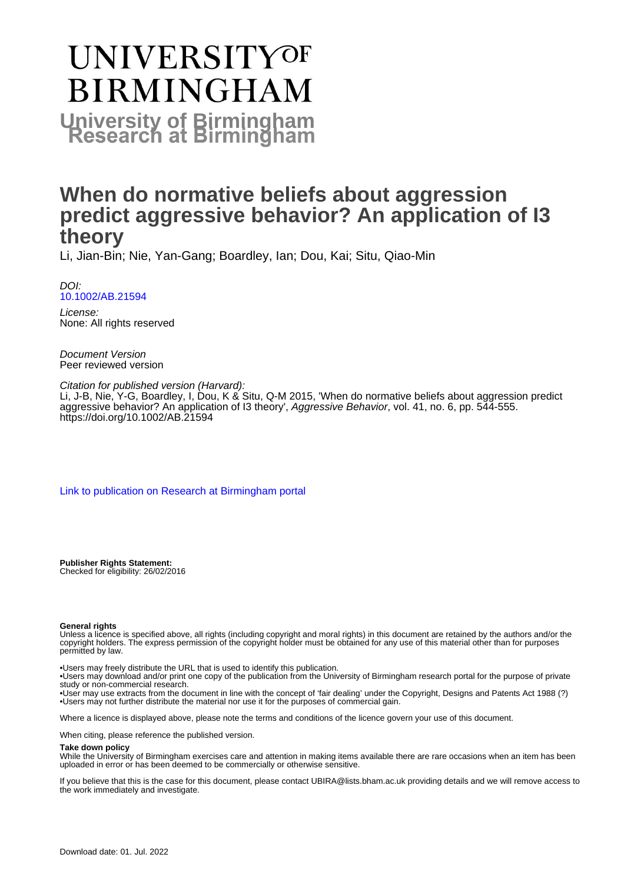# UNIVERSITYOF **BIRMINGHAM University of Birmingham**

# **When do normative beliefs about aggression predict aggressive behavior? An application of I3 theory**

Li, Jian-Bin; Nie, Yan-Gang; Boardley, Ian; Dou, Kai; Situ, Qiao-Min

DOI: [10.1002/AB.21594](https://doi.org/10.1002/AB.21594)

License: None: All rights reserved

Document Version Peer reviewed version

Citation for published version (Harvard): Li, J-B, Nie, Y-G, Boardley, I, Dou, K & Situ, Q-M 2015, 'When do normative beliefs about aggression predict aggressive behavior? An application of I3 theory', Aggressive Behavior, vol. 41, no. 6, pp. 544-555. <https://doi.org/10.1002/AB.21594>

[Link to publication on Research at Birmingham portal](https://birmingham.elsevierpure.com/en/publications/d7630010-d959-461a-aa56-bd65243229c4)

**Publisher Rights Statement:** Checked for eligibility: 26/02/2016

#### **General rights**

Unless a licence is specified above, all rights (including copyright and moral rights) in this document are retained by the authors and/or the copyright holders. The express permission of the copyright holder must be obtained for any use of this material other than for purposes permitted by law.

• Users may freely distribute the URL that is used to identify this publication.

• Users may download and/or print one copy of the publication from the University of Birmingham research portal for the purpose of private study or non-commercial research.

• User may use extracts from the document in line with the concept of 'fair dealing' under the Copyright, Designs and Patents Act 1988 (?) • Users may not further distribute the material nor use it for the purposes of commercial gain.

Where a licence is displayed above, please note the terms and conditions of the licence govern your use of this document.

When citing, please reference the published version.

#### **Take down policy**

While the University of Birmingham exercises care and attention in making items available there are rare occasions when an item has been uploaded in error or has been deemed to be commercially or otherwise sensitive.

If you believe that this is the case for this document, please contact UBIRA@lists.bham.ac.uk providing details and we will remove access to the work immediately and investigate.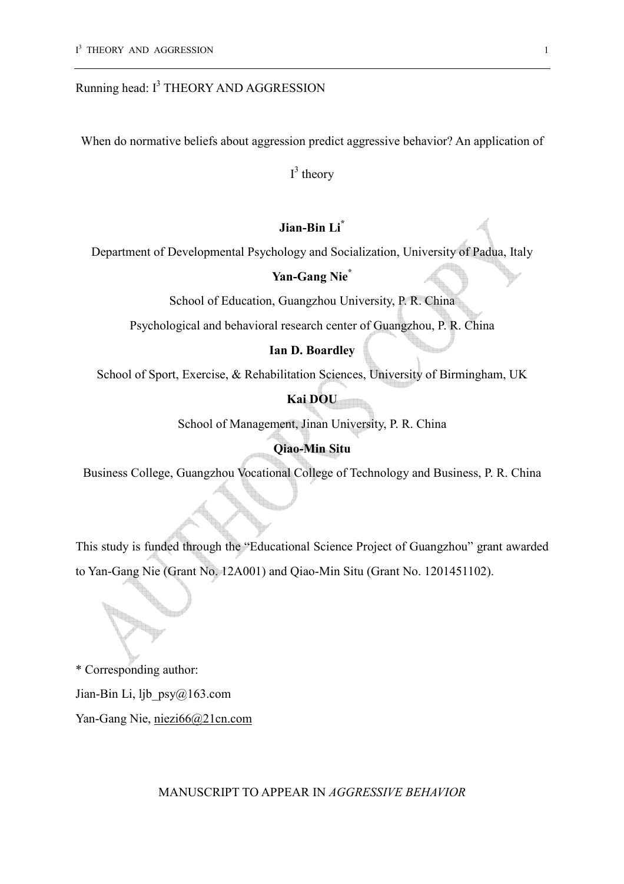# Running head:  $I<sup>3</sup>$  THEORY AND AGGRESSION

When do normative beliefs about aggression predict aggressive behavior? An application of

 $I^3$  theory

# **Jian-Bin Li\***

Department of Developmental Psychology and Socialization, University of Padua, Italy

# **Yan-Gang Nie\***

School of Education, Guangzhou University, P. R. China

Psychological and behavioral research center of Guangzhou, P. R. China

# **Ian D. Boardley**

School of Sport, Exercise, & Rehabilitation Sciences, University of Birmingham, UK

# **Kai DOU**

School of Management, Jinan University, P. R. China

# **Qiao-Min Situ**

Business College, Guangzhou Vocational College of Technology and Business, P. R. China

This study is funded through the "Educational Science Project of Guangzhou" grant awarded to Yan-Gang Nie (Grant No. 12A001) and Qiao-Min Situ (Grant No. 1201451102).

\* Corresponding author: Jian-Bin Li, ljb\_psy@163.com Yan-Gang Nie, niezi66@21cn.com

MANUSCRIPT TO APPEAR IN *AGGRESSIVE BEHAVIOR*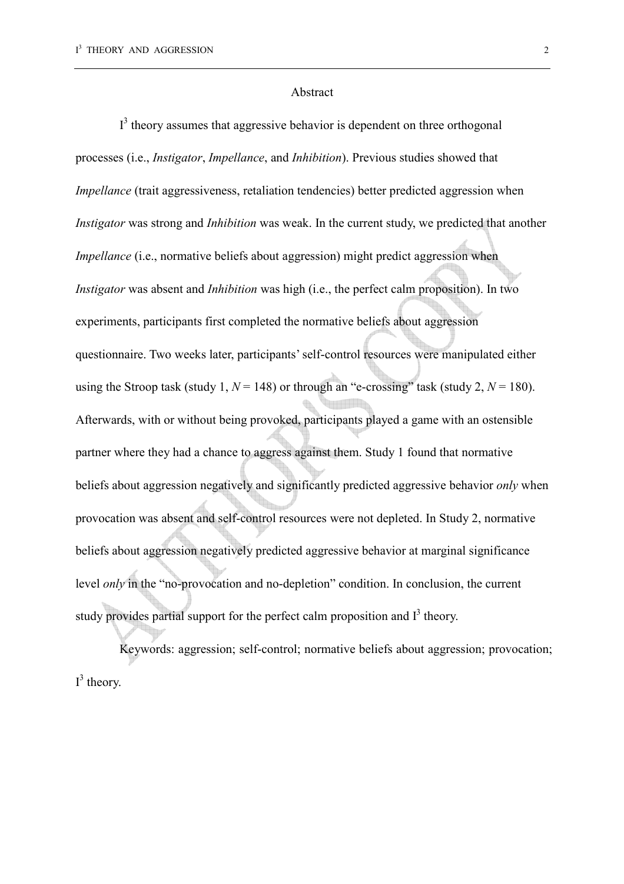#### Abstract

 $I<sup>3</sup>$  theory assumes that aggressive behavior is dependent on three orthogonal processes (i.e., *Instigator*, *Impellance*, and *Inhibition*). Previous studies showed that *Impellance* (trait aggressiveness, retaliation tendencies) better predicted aggression when *Instigator* was strong and *Inhibition* was weak. In the current study, we predicted that another *Impellance* (i.e., normative beliefs about aggression) might predict aggression when *Instigator* was absent and *Inhibition* was high (i.e., the perfect calm proposition). In two experiments, participants first completed the normative beliefs about aggression questionnaire. Two weeks later, participants' self-control resources were manipulated either using the Stroop task (study 1,  $N = 148$ ) or through an "e-crossing" task (study 2,  $N = 180$ ). Afterwards, with or without being provoked, participants played a game with an ostensible partner where they had a chance to aggress against them. Study 1 found that normative beliefs about aggression negatively and significantly predicted aggressive behavior *only* when provocation was absent and self-control resources were not depleted. In Study 2, normative beliefs about aggression negatively predicted aggressive behavior at marginal significance level *only* in the "no-provocation and no-depletion" condition. In conclusion, the current study provides partial support for the perfect calm proposition and  $I<sup>3</sup>$  theory.

Keywords: aggression; self-control; normative beliefs about aggression; provocation;  $I^3$  theory.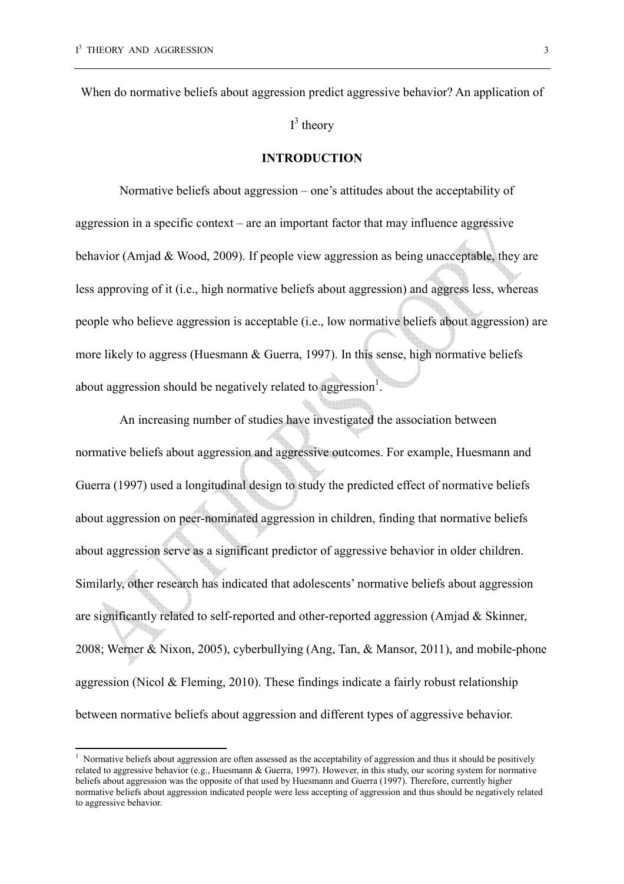$\overline{a}$ 

When do normative beliefs about aggression predict aggressive behavior? An application of

 $I^3$  theory

#### **INTRODUCTION**

Normative beliefs about aggression – one's attitudes about the acceptability of aggression in a specific context – are an important factor that may influence aggressive behavior (Amjad & Wood, 2009). If people view aggression as being unacceptable, they are less approving of it (i.e., high normative beliefs about aggression) and aggress less, whereas people who believe aggression is acceptable (i.e., low normative beliefs about aggression) are more likely to aggress (Huesmann & Guerra, 1997). In this sense, high normative beliefs about aggression should be negatively related to aggression<sup>1</sup>.

An increasing number of studies have investigated the association between normative beliefs about aggression and aggressive outcomes. For example, Huesmann and Guerra (1997) used a longitudinal design to study the predicted effect of normative beliefs about aggression on peer-nominated aggression in children, finding that normative beliefs about aggression serve as a significant predictor of aggressive behavior in older children. Similarly, other research has indicated that adolescents' normative beliefs about aggression are significantly related to self-reported and other-reported aggression (Amjad & Skinner, 2008; Werner & Nixon, 2005), cyberbullying (Ang, Tan, & Mansor, 2011), and mobile-phone aggression (Nicol & Fleming, 2010). These findings indicate a fairly robust relationship between normative beliefs about aggression and different types of aggressive behavior.

 $1$  Normative beliefs about aggression are often assessed as the acceptability of aggression and thus it should be positively related to aggressive behavior (e.g., Huesmann & Guerra, 1997). However, in this study, our scoring system for normative beliefs about aggression was the opposite of that used by Huesmann and Guerra (1997). Therefore, currently higher normative beliefs about aggression indicated people were less accepting of aggression and thus should be negatively related to aggressive behavior.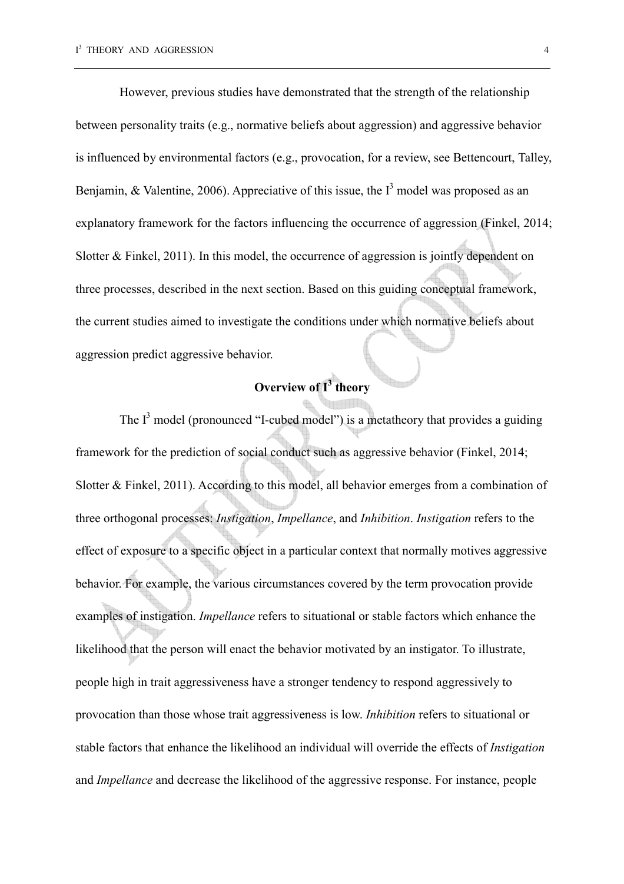However, previous studies have demonstrated that the strength of the relationship between personality traits (e.g., normative beliefs about aggression) and aggressive behavior is influenced by environmental factors (e.g., provocation, for a review, see Bettencourt, Talley, Benjamin, & Valentine, 2006). Appreciative of this issue, the  $I<sup>3</sup>$  model was proposed as an explanatory framework for the factors influencing the occurrence of aggression (Finkel, 2014; Slotter & Finkel, 2011). In this model, the occurrence of aggression is jointly dependent on three processes, described in the next section. Based on this guiding conceptual framework, the current studies aimed to investigate the conditions under which normative beliefs about aggression predict aggressive behavior.

# **Overview of I<sup>3</sup> theory**

The  $I<sup>3</sup>$  model (pronounced "I-cubed model") is a metatheory that provides a guiding framework for the prediction of social conduct such as aggressive behavior (Finkel, 2014; Slotter & Finkel, 2011). According to this model, all behavior emerges from a combination of three orthogonal processes: *Instigation*, *Impellance*, and *Inhibition*. *Instigation* refers to the effect of exposure to a specific object in a particular context that normally motives aggressive behavior. For example, the various circumstances covered by the term provocation provide examples of instigation. *Impellance* refers to situational or stable factors which enhance the likelihood that the person will enact the behavior motivated by an instigator. To illustrate, people high in trait aggressiveness have a stronger tendency to respond aggressively to provocation than those whose trait aggressiveness is low. *Inhibition* refers to situational or stable factors that enhance the likelihood an individual will override the effects of *Instigation* and *Impellance* and decrease the likelihood of the aggressive response. For instance, people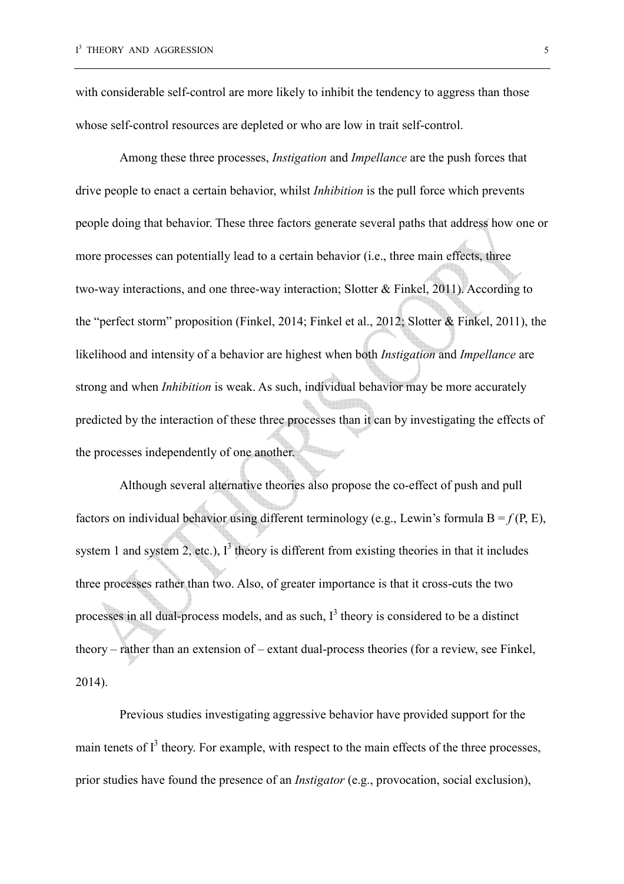with considerable self-control are more likely to inhibit the tendency to aggress than those whose self-control resources are depleted or who are low in trait self-control.

Among these three processes, *Instigation* and *Impellance* are the push forces that drive people to enact a certain behavior, whilst *Inhibition* is the pull force which prevents people doing that behavior. These three factors generate several paths that address how one or more processes can potentially lead to a certain behavior (i.e., three main effects, three two-way interactions, and one three-way interaction; Slotter & Finkel, 2011). According to the "perfect storm" proposition (Finkel, 2014; Finkel et al., 2012; Slotter & Finkel, 2011), the likelihood and intensity of a behavior are highest when both *Instigation* and *Impellance* are strong and when *Inhibition* is weak. As such, individual behavior may be more accurately predicted by the interaction of these three processes than it can by investigating the effects of the processes independently of one another.

Although several alternative theories also propose the co-effect of push and pull factors on individual behavior using different terminology (e.g., Lewin's formula  $B = f(P, E)$ , system 1 and system 2, etc.),  $I^3$  theory is different from existing theories in that it includes three processes rather than two. Also, of greater importance is that it cross-cuts the two processes in all dual-process models, and as such,  $I<sup>3</sup>$  theory is considered to be a distinct theory – rather than an extension of – extant dual-process theories (for a review, see Finkel, 2014).

Previous studies investigating aggressive behavior have provided support for the main tenets of  $I<sup>3</sup>$  theory. For example, with respect to the main effects of the three processes, prior studies have found the presence of an *Instigator* (e.g., provocation, social exclusion),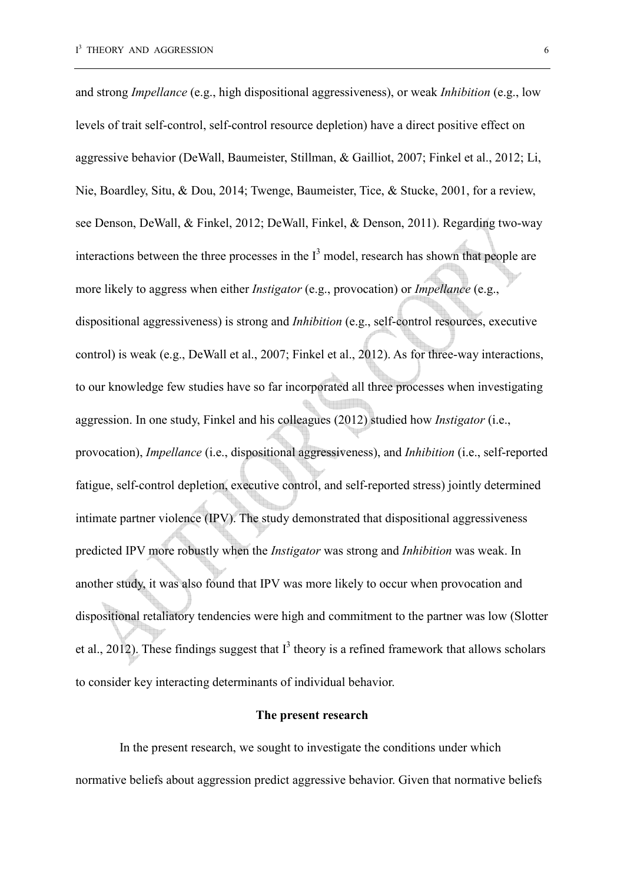and strong *Impellance* (e.g., high dispositional aggressiveness), or weak *Inhibition* (e.g., low levels of trait self-control, self-control resource depletion) have a direct positive effect on aggressive behavior (DeWall, Baumeister, Stillman, & Gailliot, 2007; Finkel et al., 2012; Li, Nie, Boardley, Situ, & Dou, 2014; Twenge, Baumeister, Tice, & Stucke, 2001, for a review, see Denson, DeWall, & Finkel, 2012; DeWall, Finkel, & Denson, 2011). Regarding two-way interactions between the three processes in the  $I<sup>3</sup>$  model, research has shown that people are more likely to aggress when either *Instigator* (e.g., provocation) or *Impellance* (e.g., dispositional aggressiveness) is strong and *Inhibition* (e.g., self-control resources, executive control) is weak (e.g., DeWall et al., 2007; Finkel et al., 2012). As for three-way interactions, to our knowledge few studies have so far incorporated all three processes when investigating aggression. In one study, Finkel and his colleagues (2012) studied how *Instigator* (i.e., provocation), *Impellance* (i.e., dispositional aggressiveness), and *Inhibition* (i.e., self-reported fatigue, self-control depletion, executive control, and self-reported stress) jointly determined intimate partner violence (IPV). The study demonstrated that dispositional aggressiveness predicted IPV more robustly when the *Instigator* was strong and *Inhibition* was weak. In another study, it was also found that IPV was more likely to occur when provocation and dispositional retaliatory tendencies were high and commitment to the partner was low (Slotter et al., 2012). These findings suggest that  $I<sup>3</sup>$  theory is a refined framework that allows scholars to consider key interacting determinants of individual behavior.

#### **The present research**

In the present research, we sought to investigate the conditions under which normative beliefs about aggression predict aggressive behavior. Given that normative beliefs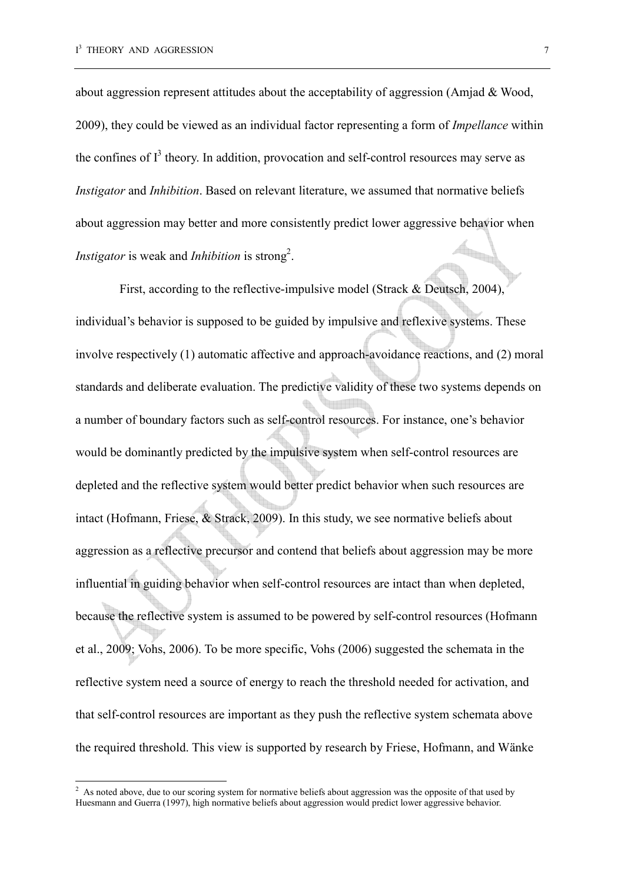$\overline{a}$ 

about aggression represent attitudes about the acceptability of aggression (Amjad & Wood, 2009), they could be viewed as an individual factor representing a form of *Impellance* within the confines of  $I<sup>3</sup>$  theory. In addition, provocation and self-control resources may serve as *Instigator* and *Inhibition*. Based on relevant literature, we assumed that normative beliefs about aggression may better and more consistently predict lower aggressive behavior when *Instigator* is weak and *Inhibition* is strong<sup>2</sup>.

First, according to the reflective-impulsive model (Strack & Deutsch, 2004), individual's behavior is supposed to be guided by impulsive and reflexive systems. These involve respectively (1) automatic affective and approach-avoidance reactions, and (2) moral standards and deliberate evaluation. The predictive validity of these two systems depends on a number of boundary factors such as self-control resources. For instance, one's behavior would be dominantly predicted by the impulsive system when self-control resources are depleted and the reflective system would better predict behavior when such resources are intact (Hofmann, Friese, & Strack, 2009). In this study, we see normative beliefs about aggression as a reflective precursor and contend that beliefs about aggression may be more influential in guiding behavior when self-control resources are intact than when depleted, because the reflective system is assumed to be powered by self-control resources (Hofmann et al., 2009; Vohs, 2006). To be more specific, Vohs (2006) suggested the schemata in the reflective system need a source of energy to reach the threshold needed for activation, and that self-control resources are important as they push the reflective system schemata above the required threshold. This view is supported by research by Friese, Hofmann, and Wänke

<sup>&</sup>lt;sup>2</sup> As noted above, due to our scoring system for normative beliefs about aggression was the opposite of that used by Huesmann and Guerra (1997), high normative beliefs about aggression would predict lower aggressive behavior.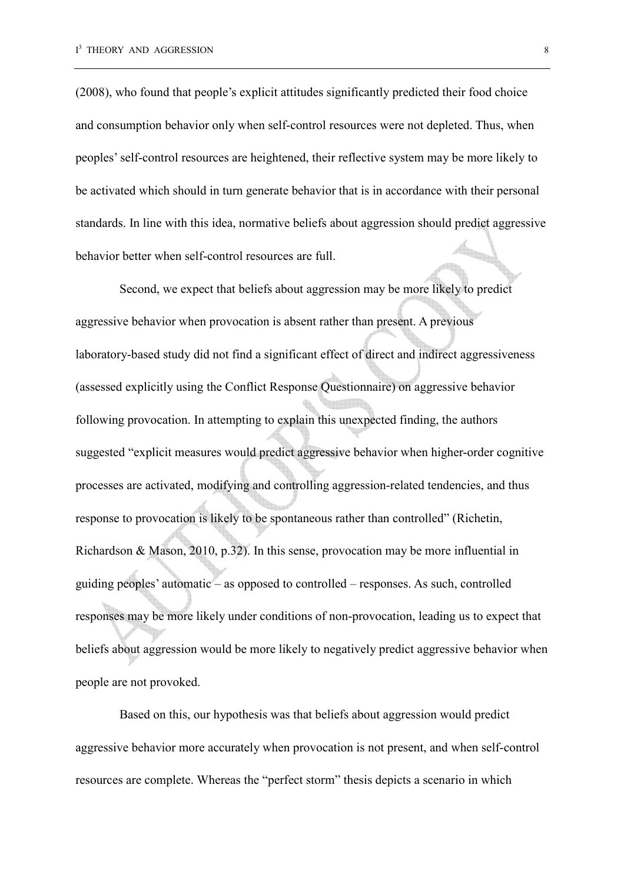(2008), who found that people's explicit attitudes significantly predicted their food choice and consumption behavior only when self-control resources were not depleted. Thus, when peoples' self-control resources are heightened, their reflective system may be more likely to be activated which should in turn generate behavior that is in accordance with their personal standards. In line with this idea, normative beliefs about aggression should predict aggressive behavior better when self-control resources are full.

Second, we expect that beliefs about aggression may be more likely to predict aggressive behavior when provocation is absent rather than present. A previous laboratory-based study did not find a significant effect of direct and indirect aggressiveness (assessed explicitly using the Conflict Response Questionnaire) on aggressive behavior following provocation. In attempting to explain this unexpected finding, the authors suggested "explicit measures would predict aggressive behavior when higher-order cognitive processes are activated, modifying and controlling aggression-related tendencies, and thus response to provocation is likely to be spontaneous rather than controlled" (Richetin, Richardson & Mason, 2010, p.32). In this sense, provocation may be more influential in guiding peoples' automatic – as opposed to controlled – responses. As such, controlled responses may be more likely under conditions of non-provocation, leading us to expect that beliefs about aggression would be more likely to negatively predict aggressive behavior when people are not provoked.

Based on this, our hypothesis was that beliefs about aggression would predict aggressive behavior more accurately when provocation is not present, and when self-control resources are complete. Whereas the "perfect storm" thesis depicts a scenario in which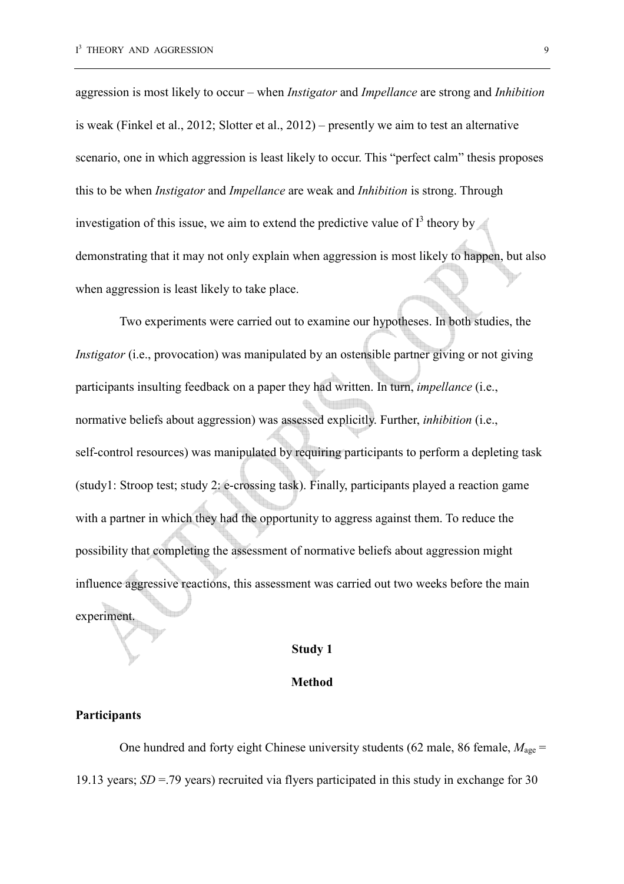aggression is most likely to occur – when *Instigator* and *Impellance* are strong and *Inhibition* is weak (Finkel et al., 2012; Slotter et al., 2012) – presently we aim to test an alternative scenario, one in which aggression is least likely to occur. This "perfect calm" thesis proposes this to be when *Instigator* and *Impellance* are weak and *Inhibition* is strong. Through investigation of this issue, we aim to extend the predictive value of  $I^3$  theory by demonstrating that it may not only explain when aggression is most likely to happen, but also when aggression is least likely to take place.

Two experiments were carried out to examine our hypotheses. In both studies, the *Instigator* (i.e., provocation) was manipulated by an ostensible partner giving or not giving participants insulting feedback on a paper they had written. In turn, *impellance* (i.e., normative beliefs about aggression) was assessed explicitly. Further, *inhibition* (i.e., self-control resources) was manipulated by requiring participants to perform a depleting task (study1: Stroop test; study 2: e-crossing task). Finally, participants played a reaction game with a partner in which they had the opportunity to aggress against them. To reduce the possibility that completing the assessment of normative beliefs about aggression might influence aggressive reactions, this assessment was carried out two weeks before the main experiment.

# **Study 1**

#### **Method**

#### **Participants**

One hundred and forty eight Chinese university students (62 male, 86 female,  $M_{\text{age}} =$ 19.13 years; *SD* =.79 years) recruited via flyers participated in this study in exchange for 30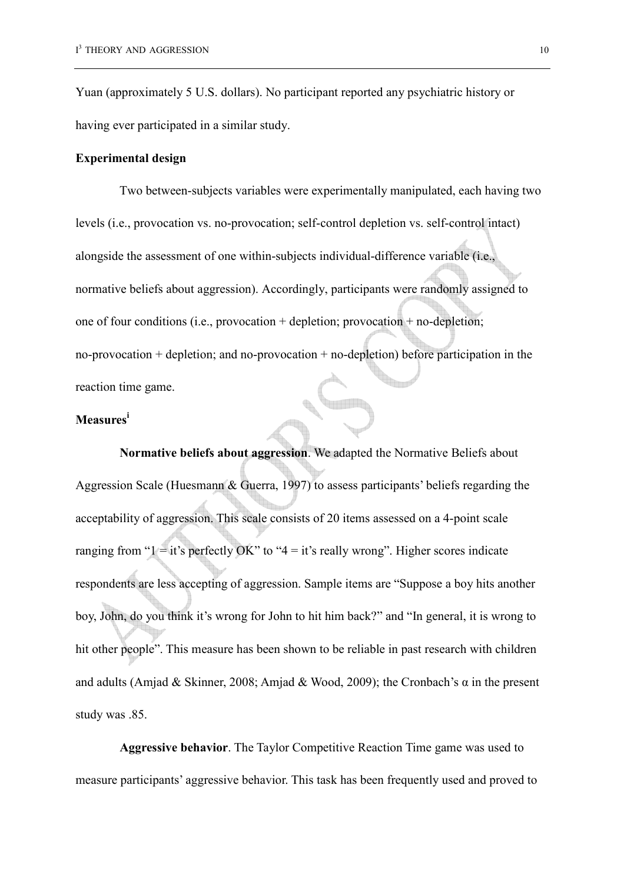Yuan (approximately 5 U.S. dollars). No participant reported any psychiatric history or having ever participated in a similar study.

#### **Experimental design**

Two between-subjects variables were experimentally manipulated, each having two levels (i.e., provocation vs. no-provocation; self-control depletion vs. self-control intact) alongside the assessment of one within-subjects individual-difference variable (i.e., normative beliefs about aggression). Accordingly, participants were randomly assigned to one of four conditions (i.e., provocation + depletion; provocation + no-depletion; no-provocation + depletion; and no-provocation + no-depletion) before participation in the reaction time game.

# **Measures<sup>i</sup>**

**Normative beliefs about aggression**. We adapted the Normative Beliefs about Aggression Scale (Huesmann & Guerra, 1997) to assess participants' beliefs regarding the acceptability of aggression. This scale consists of 20 items assessed on a 4-point scale ranging from " $1 = it$ 's perfectly OK" to " $4 = it$ 's really wrong". Higher scores indicate respondents are less accepting of aggression. Sample items are "Suppose a boy hits another boy, John, do you think it's wrong for John to hit him back?" and "In general, it is wrong to hit other people". This measure has been shown to be reliable in past research with children and adults (Amjad & Skinner, 2008; Amjad & Wood, 2009); the Cronbach's  $\alpha$  in the present study was .85.

**Aggressive behavior**. The Taylor Competitive Reaction Time game was used to measure participants' aggressive behavior. This task has been frequently used and proved to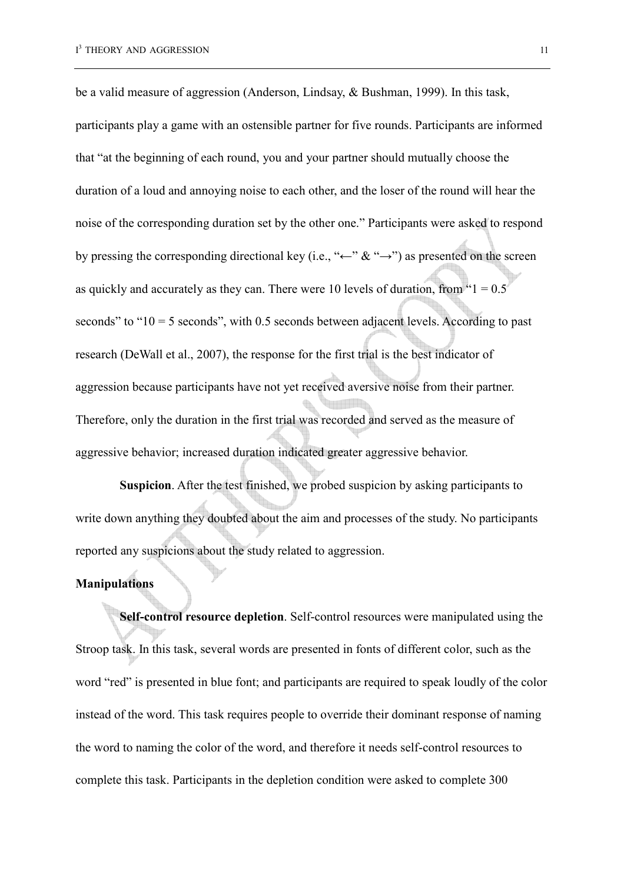be a valid measure of aggression (Anderson, Lindsay, & Bushman, 1999). In this task, participants play a game with an ostensible partner for five rounds. Participants are informed that "at the beginning of each round, you and your partner should mutually choose the duration of a loud and annoying noise to each other, and the loser of the round will hear the noise of the corresponding duration set by the other one." Participants were asked to respond by pressing the corresponding directional key (i.e., "←" & "→") as presented on the screen as quickly and accurately as they can. There were 10 levels of duration, from  $"1 = 0.5"$ seconds" to " $10 = 5$  seconds", with 0.5 seconds between adjacent levels. According to past research (DeWall et al., 2007), the response for the first trial is the best indicator of aggression because participants have not yet received aversive noise from their partner. Therefore, only the duration in the first trial was recorded and served as the measure of aggressive behavior; increased duration indicated greater aggressive behavior.

**Suspicion**. After the test finished, we probed suspicion by asking participants to write down anything they doubted about the aim and processes of the study. No participants reported any suspicions about the study related to aggression.

# **Manipulations**

**Self-control resource depletion**. Self-control resources were manipulated using the Stroop task. In this task, several words are presented in fonts of different color, such as the word "red" is presented in blue font; and participants are required to speak loudly of the color instead of the word. This task requires people to override their dominant response of naming the word to naming the color of the word, and therefore it needs self-control resources to complete this task. Participants in the depletion condition were asked to complete 300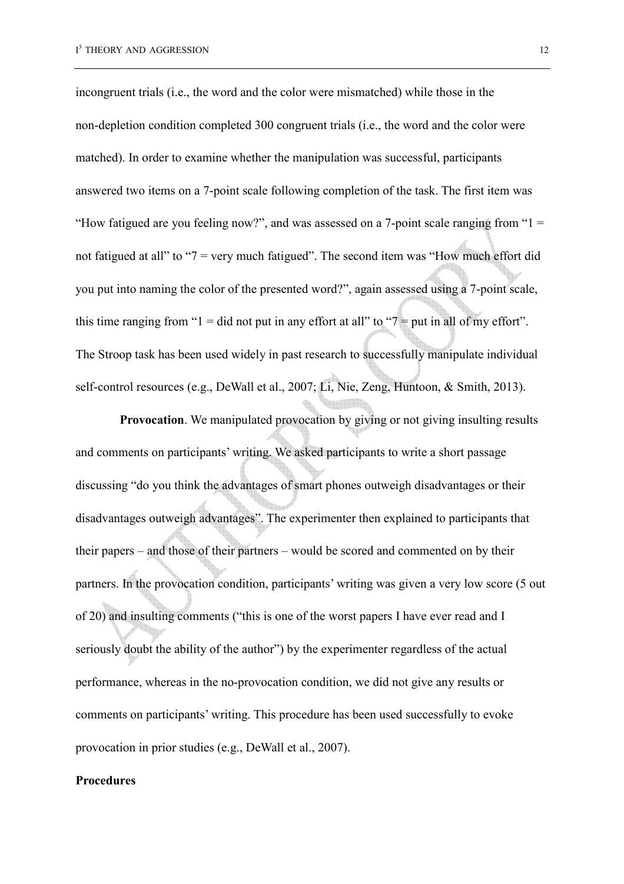incongruent trials (i.e., the word and the color were mismatched) while those in the non-depletion condition completed 300 congruent trials (i.e., the word and the color were matched). In order to examine whether the manipulation was successful, participants answered two items on a 7-point scale following completion of the task. The first item was "How fatigued are you feeling now?", and was assessed on a 7-point scale ranging from " $1 =$ not fatigued at all" to "7 = very much fatigued". The second item was "How much effort did you put into naming the color of the presented word?", again assessed using a 7-point scale, this time ranging from " $1 =$  did not put in any effort at all" to " $7 =$  put in all of my effort". The Stroop task has been used widely in past research to successfully manipulate individual self-control resources (e.g., DeWall et al., 2007; Li, Nie, Zeng, Huntoon, & Smith, 2013).

**Provocation**. We manipulated provocation by giving or not giving insulting results and comments on participants' writing. We asked participants to write a short passage discussing "do you think the advantages of smart phones outweigh disadvantages or their disadvantages outweigh advantages". The experimenter then explained to participants that their papers – and those of their partners – would be scored and commented on by their partners. In the provocation condition, participants' writing was given a very low score (5 out of 20) and insulting comments ("this is one of the worst papers I have ever read and I seriously doubt the ability of the author") by the experimenter regardless of the actual performance, whereas in the no-provocation condition, we did not give any results or comments on participants' writing. This procedure has been used successfully to evoke provocation in prior studies (e.g., DeWall et al., 2007).

#### **Procedures**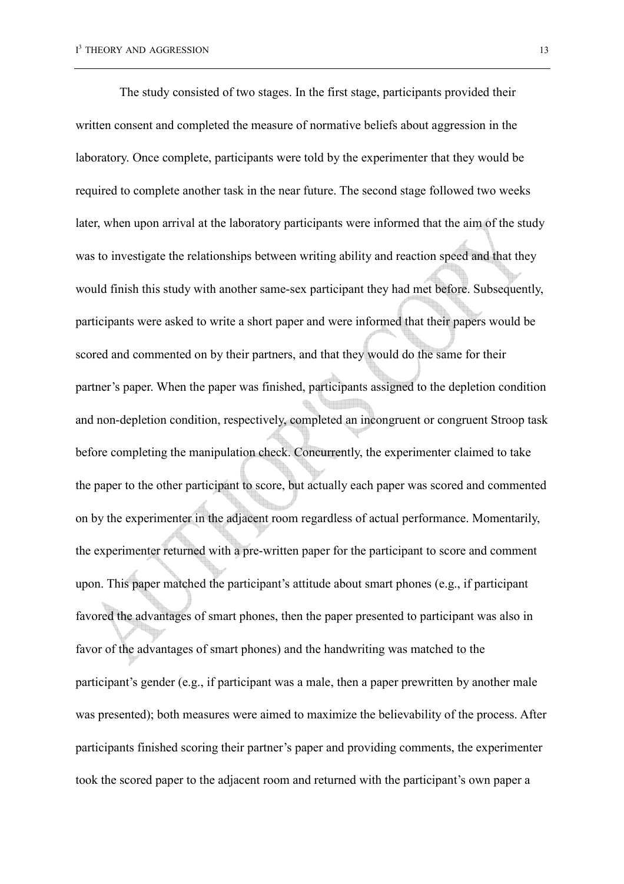The study consisted of two stages. In the first stage, participants provided their written consent and completed the measure of normative beliefs about aggression in the laboratory. Once complete, participants were told by the experimenter that they would be required to complete another task in the near future. The second stage followed two weeks later, when upon arrival at the laboratory participants were informed that the aim of the study was to investigate the relationships between writing ability and reaction speed and that they would finish this study with another same-sex participant they had met before. Subsequently, participants were asked to write a short paper and were informed that their papers would be scored and commented on by their partners, and that they would do the same for their partner's paper. When the paper was finished, participants assigned to the depletion condition and non-depletion condition, respectively, completed an incongruent or congruent Stroop task before completing the manipulation check. Concurrently, the experimenter claimed to take the paper to the other participant to score, but actually each paper was scored and commented on by the experimenter in the adjacent room regardless of actual performance. Momentarily, the experimenter returned with a pre-written paper for the participant to score and comment upon. This paper matched the participant's attitude about smart phones (e.g., if participant favored the advantages of smart phones, then the paper presented to participant was also in favor of the advantages of smart phones) and the handwriting was matched to the participant's gender (e.g., if participant was a male, then a paper prewritten by another male was presented); both measures were aimed to maximize the believability of the process. After participants finished scoring their partner's paper and providing comments, the experimenter took the scored paper to the adjacent room and returned with the participant's own paper a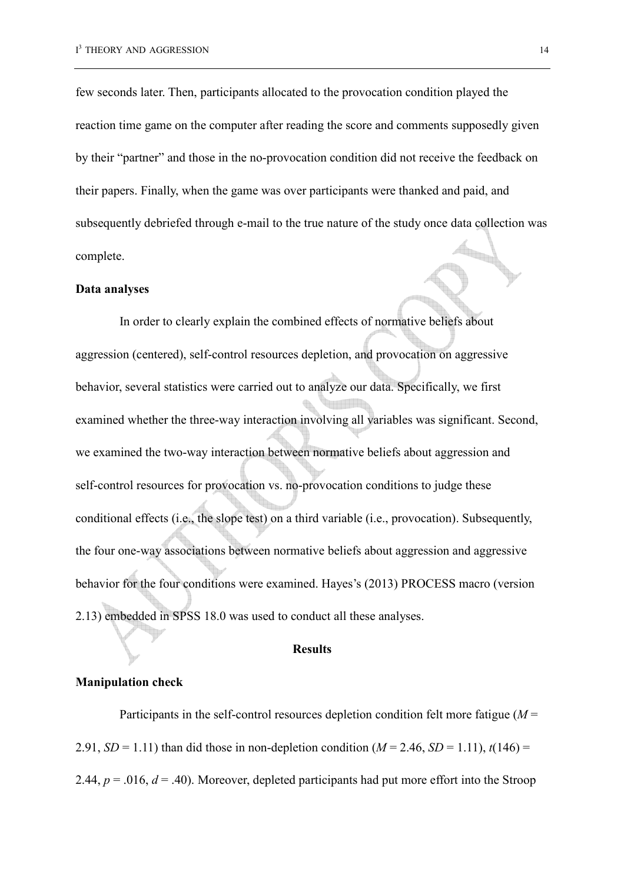few seconds later. Then, participants allocated to the provocation condition played the reaction time game on the computer after reading the score and comments supposedly given by their "partner" and those in the no-provocation condition did not receive the feedback on their papers. Finally, when the game was over participants were thanked and paid, and subsequently debriefed through e-mail to the true nature of the study once data collection was complete.

#### **Data analyses**

In order to clearly explain the combined effects of normative beliefs about aggression (centered), self-control resources depletion, and provocation on aggressive behavior, several statistics were carried out to analyze our data. Specifically, we first examined whether the three-way interaction involving all variables was significant. Second, we examined the two-way interaction between normative beliefs about aggression and self-control resources for provocation vs. no-provocation conditions to judge these conditional effects (i.e., the slope test) on a third variable (i.e., provocation). Subsequently, the four one-way associations between normative beliefs about aggression and aggressive behavior for the four conditions were examined. Hayes's (2013) PROCESS macro (version 2.13) embedded in SPSS 18.0 was used to conduct all these analyses.

#### **Results**

#### **Manipulation check**

Participants in the self-control resources depletion condition felt more fatigue (*M* = 2.91, *SD* = 1.11) than did those in non-depletion condition ( $M = 2.46$ , *SD* = 1.11),  $t(146)$  = 2.44,  $p = .016$ ,  $d = .40$ ). Moreover, depleted participants had put more effort into the Stroop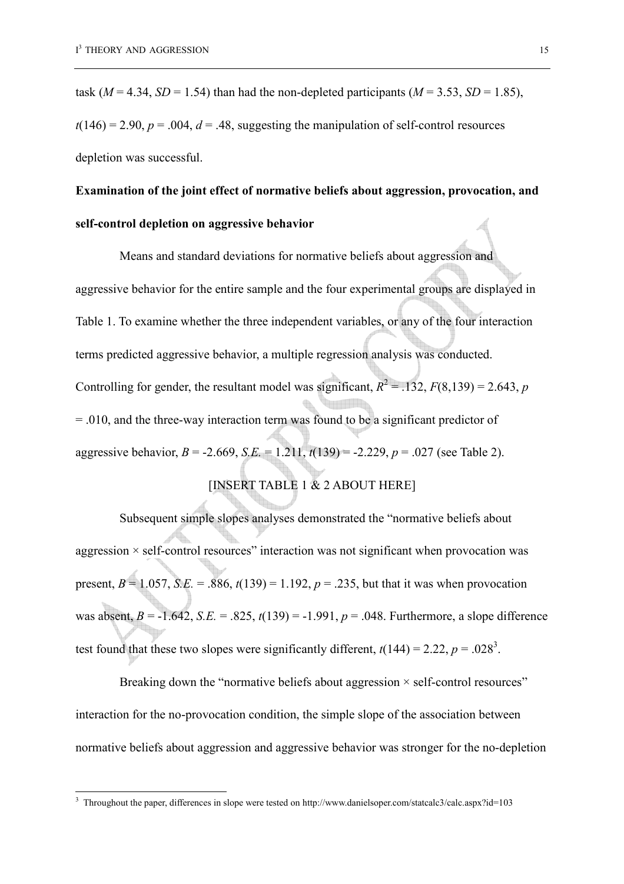$\overline{a}$ 

task ( $M = 4.34$ ,  $SD = 1.54$ ) than had the non-depleted participants ( $M = 3.53$ ,  $SD = 1.85$ ),  $t(146) = 2.90$ ,  $p = .004$ ,  $d = .48$ , suggesting the manipulation of self-control resources depletion was successful.

# **Examination of the joint effect of normative beliefs about aggression, provocation, and self-control depletion on aggressive behavior**

Means and standard deviations for normative beliefs about aggression and aggressive behavior for the entire sample and the four experimental groups are displayed in Table 1. To examine whether the three independent variables, or any of the four interaction terms predicted aggressive behavior, a multiple regression analysis was conducted. Controlling for gender, the resultant model was significant,  $R^2 = .132$ ,  $F(8,139) = 2.643$ , *p* = .010, and the three-way interaction term was found to be a significant predictor of aggressive behavior, *B* = -2.669, *S.E.* = 1.211, *t*(139) = -2.229, *p* = .027 (see Table 2).

# [INSERT TABLE 1 & 2 ABOUT HERE]

Subsequent simple slopes analyses demonstrated the "normative beliefs about aggression  $\times$  self-control resources" interaction was not significant when provocation was present,  $B = 1.057$ , *S.E.* = .886,  $t(139) = 1.192$ ,  $p = .235$ , but that it was when provocation was absent,  $B = -1.642$ ,  $S.E. = 0.825$ ,  $t(139) = -1.991$ ,  $p = 0.048$ . Furthermore, a slope difference test found that these two slopes were significantly different,  $t(144) = 2.22$ ,  $p = .028<sup>3</sup>$ .

Breaking down the "normative beliefs about aggression  $\times$  self-control resources" interaction for the no-provocation condition, the simple slope of the association between normative beliefs about aggression and aggressive behavior was stronger for the no-depletion

<sup>3</sup> Throughout the paper, differences in slope were tested on http://www.danielsoper.com/statcalc3/calc.aspx?id=103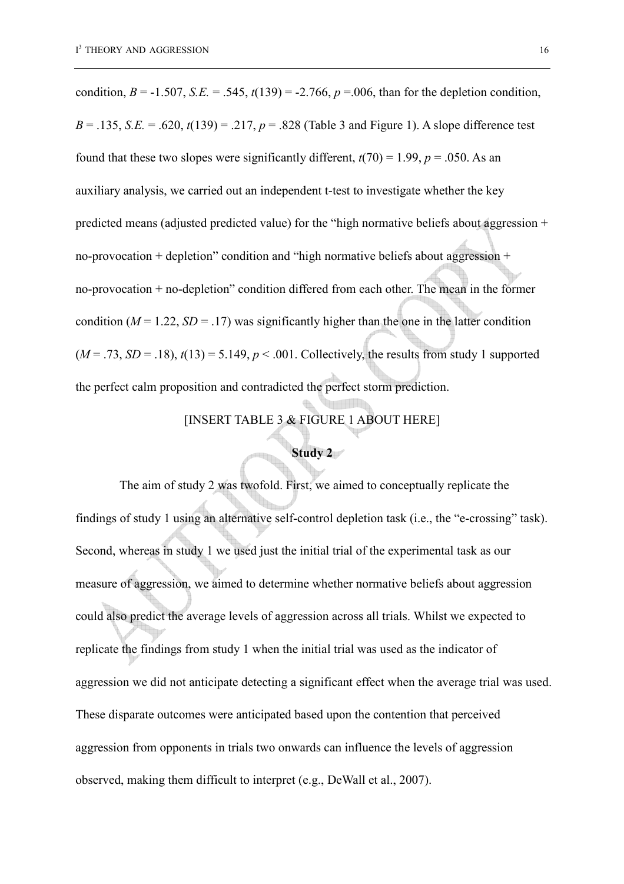condition,  $B = -1.507$ ,  $S.E. = .545$ ,  $t(139) = -2.766$ ,  $p = .006$ , than for the depletion condition, *B* = .135, *S.E.* = .620,  $t(139)$  = .217,  $p = .828$  (Table 3 and Figure 1). A slope difference test found that these two slopes were significantly different,  $t(70) = 1.99$ ,  $p = .050$ . As an auxiliary analysis, we carried out an independent t-test to investigate whether the key predicted means (adjusted predicted value) for the "high normative beliefs about aggression + no-provocation + depletion" condition and "high normative beliefs about aggression + no-provocation + no-depletion" condition differed from each other. The mean in the former condition ( $M = 1.22$ ,  $SD = .17$ ) was significantly higher than the one in the latter condition  $(M = .73, SD = .18)$ ,  $t(13) = 5.149$ ,  $p < .001$ . Collectively, the results from study 1 supported the perfect calm proposition and contradicted the perfect storm prediction.

# [INSERT TABLE 3 & FIGURE 1 ABOUT HERE]

# **Study 2**

The aim of study 2 was twofold. First, we aimed to conceptually replicate the findings of study 1 using an alternative self-control depletion task (i.e., the "e-crossing" task). Second, whereas in study 1 we used just the initial trial of the experimental task as our measure of aggression, we aimed to determine whether normative beliefs about aggression could also predict the average levels of aggression across all trials. Whilst we expected to replicate the findings from study 1 when the initial trial was used as the indicator of aggression we did not anticipate detecting a significant effect when the average trial was used. These disparate outcomes were anticipated based upon the contention that perceived aggression from opponents in trials two onwards can influence the levels of aggression observed, making them difficult to interpret (e.g., DeWall et al., 2007).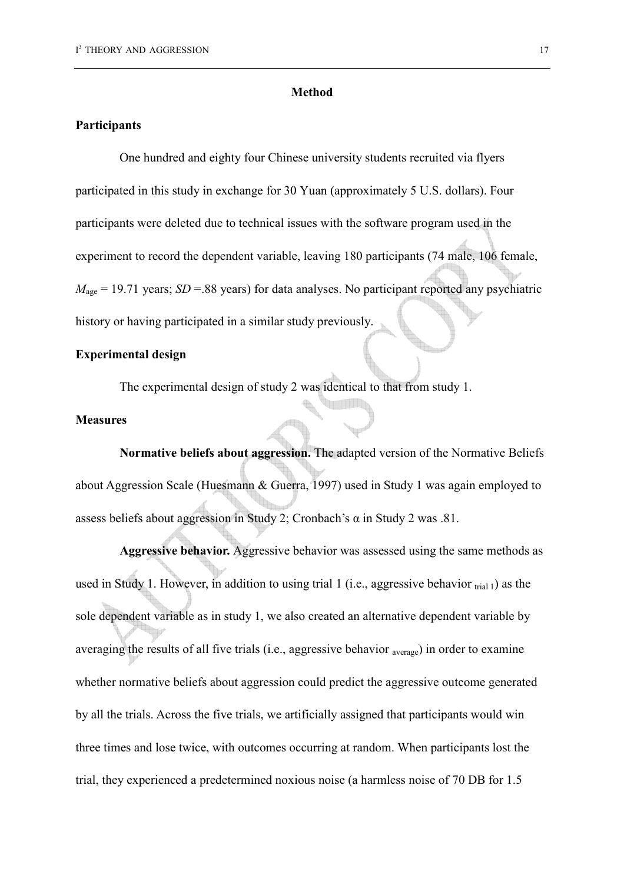#### **Method**

#### **Participants**

One hundred and eighty four Chinese university students recruited via flyers participated in this study in exchange for 30 Yuan (approximately 5 U.S. dollars). Four participants were deleted due to technical issues with the software program used in the experiment to record the dependent variable, leaving 180 participants (74 male, 106 female,  $M<sub>age</sub> = 19.71$  years; *SD* = 88 years) for data analyses. No participant reported any psychiatric history or having participated in a similar study previously.

### **Experimental design**

The experimental design of study 2 was identical to that from study 1.

# **Measures**

**Normative beliefs about aggression.** The adapted version of the Normative Beliefs about Aggression Scale (Huesmann & Guerra, 1997) used in Study 1 was again employed to assess beliefs about aggression in Study 2; Cronbach's  $\alpha$  in Study 2 was .81.

**Aggressive behavior.** Aggressive behavior was assessed using the same methods as used in Study 1. However, in addition to using trial 1 (i.e., aggressive behavior  $_{trial}$ ) as the sole dependent variable as in study 1, we also created an alternative dependent variable by averaging the results of all five trials (i.e., aggressive behavior average) in order to examine whether normative beliefs about aggression could predict the aggressive outcome generated by all the trials. Across the five trials, we artificially assigned that participants would win three times and lose twice, with outcomes occurring at random. When participants lost the trial, they experienced a predetermined noxious noise (a harmless noise of 70 DB for 1.5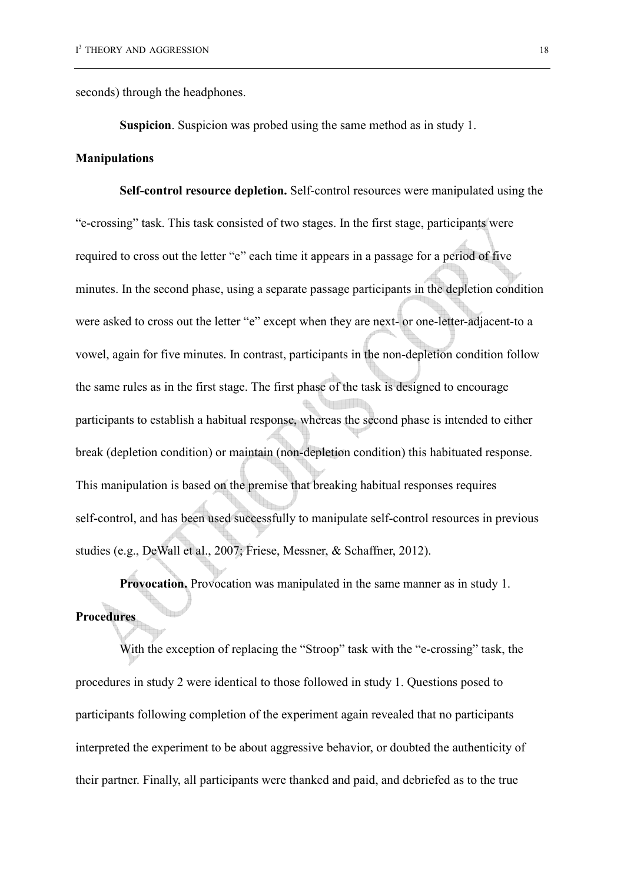seconds) through the headphones.

**Suspicion**. Suspicion was probed using the same method as in study 1.

#### **Manipulations**

**Self-control resource depletion.** Self-control resources were manipulated using the "e-crossing" task. This task consisted of two stages. In the first stage, participants were required to cross out the letter "e" each time it appears in a passage for a period of five minutes. In the second phase, using a separate passage participants in the depletion condition were asked to cross out the letter "e" except when they are next- or one-letter-adjacent-to a vowel, again for five minutes. In contrast, participants in the non-depletion condition follow the same rules as in the first stage. The first phase of the task is designed to encourage participants to establish a habitual response, whereas the second phase is intended to either break (depletion condition) or maintain (non-depletion condition) this habituated response. This manipulation is based on the premise that breaking habitual responses requires self-control, and has been used successfully to manipulate self-control resources in previous studies (e.g., DeWall et al., 2007; Friese, Messner, & Schaffner, 2012).

**Provocation.** Provocation was manipulated in the same manner as in study 1. **Procedures** 

With the exception of replacing the "Stroop" task with the "e-crossing" task, the procedures in study 2 were identical to those followed in study 1. Questions posed to participants following completion of the experiment again revealed that no participants interpreted the experiment to be about aggressive behavior, or doubted the authenticity of their partner. Finally, all participants were thanked and paid, and debriefed as to the true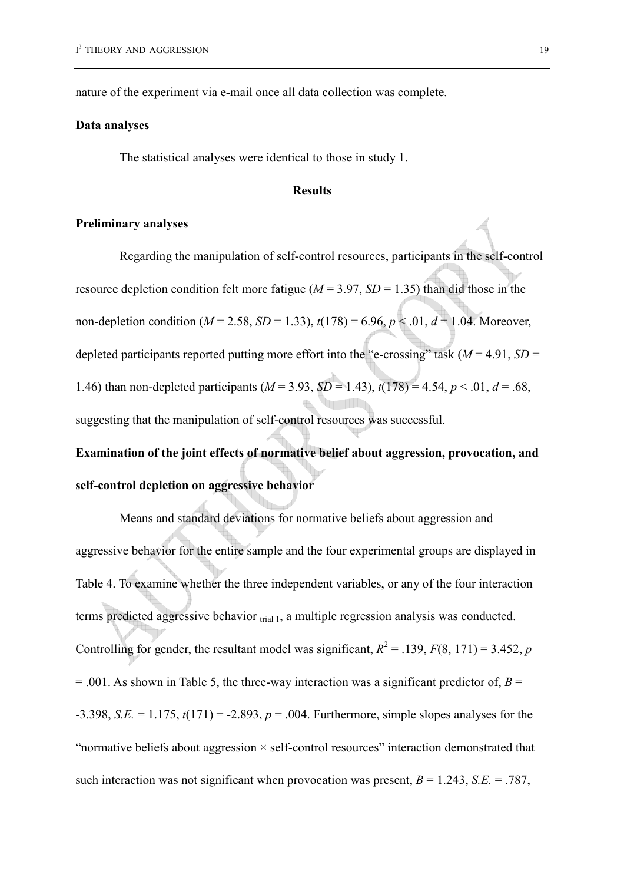nature of the experiment via e-mail once all data collection was complete.

#### **Data analyses**

The statistical analyses were identical to those in study 1.

#### **Results**

#### **Preliminary analyses**

Regarding the manipulation of self-control resources, participants in the self-control resource depletion condition felt more fatigue ( $M = 3.97$ ,  $SD = 1.35$ ) than did those in the non-depletion condition ( $M = 2.58$ ,  $SD = 1.33$ ),  $t(178) = 6.96$ ,  $p < .01$ ,  $d = 1.04$ . Moreover, depleted participants reported putting more effort into the "e-crossing" task  $(M = 4.91, SD =$ 1.46) than non-depleted participants  $(M = 3.93, SD = 1.43)$ ,  $t(178) = 4.54, p < .01, d = .68$ , suggesting that the manipulation of self-control resources was successful.

**Examination of the joint effects of normative belief about aggression, provocation, and self-control depletion on aggressive behavior** 

Means and standard deviations for normative beliefs about aggression and aggressive behavior for the entire sample and the four experimental groups are displayed in Table 4. To examine whether the three independent variables, or any of the four interaction terms predicted aggressive behavior  $_{trial}$ , a multiple regression analysis was conducted. Controlling for gender, the resultant model was significant,  $R^2 = 0.139$ ,  $F(8, 171) = 3.452$ , *p*  $= .001$ . As shown in Table 5, the three-way interaction was a significant predictor of, *B* = -3.398, *S.E.* = 1.175, *t*(171) = -2.893, *p* = .004. Furthermore, simple slopes analyses for the "normative beliefs about aggression  $\times$  self-control resources" interaction demonstrated that such interaction was not significant when provocation was present,  $B = 1.243$ ,  $S.E. = .787$ ,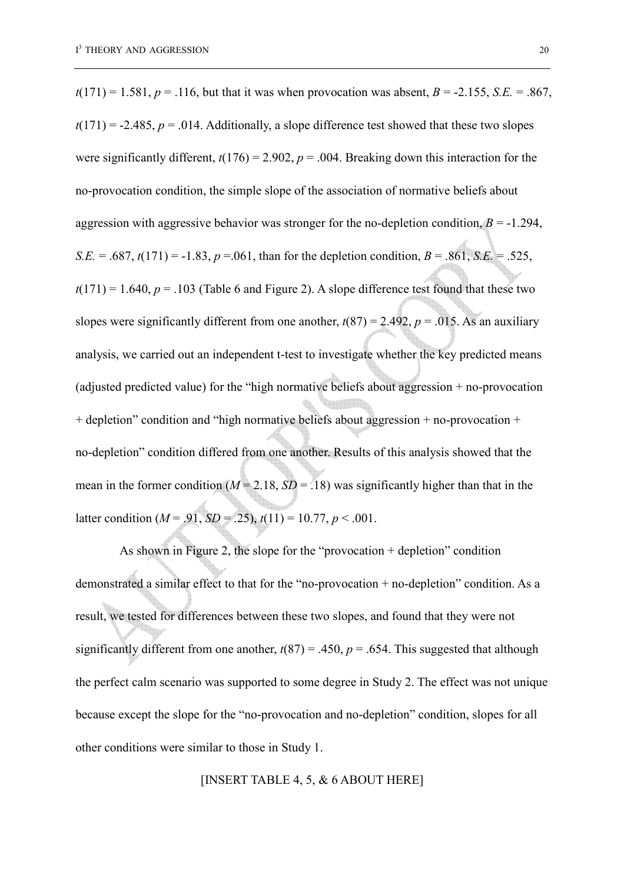$t(171) = 1.581, p = .116$ , but that it was when provocation was absent,  $B = -2.155$ , *S.E.* = .867,  $t(171) = -2.485$ ,  $p = .014$ . Additionally, a slope difference test showed that these two slopes were significantly different,  $t(176) = 2.902$ ,  $p = .004$ . Breaking down this interaction for the no-provocation condition, the simple slope of the association of normative beliefs about aggression with aggressive behavior was stronger for the no-depletion condition,  $B = -1.294$ , *S.E.* = .687,  $t(171) = -1.83$ ,  $p = .061$ , than for the depletion condition,  $B = .861$ , *S.E.* = .525,  $t(171) = 1.640$ ,  $p = .103$  (Table 6 and Figure 2). A slope difference test found that these two slopes were significantly different from one another,  $t(87) = 2.492$ ,  $p = .015$ . As an auxiliary analysis, we carried out an independent t-test to investigate whether the key predicted means (adjusted predicted value) for the "high normative beliefs about aggression + no-provocation + depletion" condition and "high normative beliefs about aggression + no-provocation + no-depletion" condition differed from one another. Results of this analysis showed that the mean in the former condition  $(M = 2.18, SD = .18)$  was significantly higher than that in the latter condition ( $M = .91$ ,  $SD = .25$ ),  $t(11) = 10.77$ ,  $p < .001$ .

As shown in Figure 2, the slope for the "provocation + depletion" condition demonstrated a similar effect to that for the "no-provocation + no-depletion" condition. As a result, we tested for differences between these two slopes, and found that they were not significantly different from one another,  $t(87) = .450$ ,  $p = .654$ . This suggested that although the perfect calm scenario was supported to some degree in Study 2. The effect was not unique because except the slope for the "no-provocation and no-depletion" condition, slopes for all other conditions were similar to those in Study 1.

#### [INSERT TABLE 4, 5, & 6 ABOUT HERE]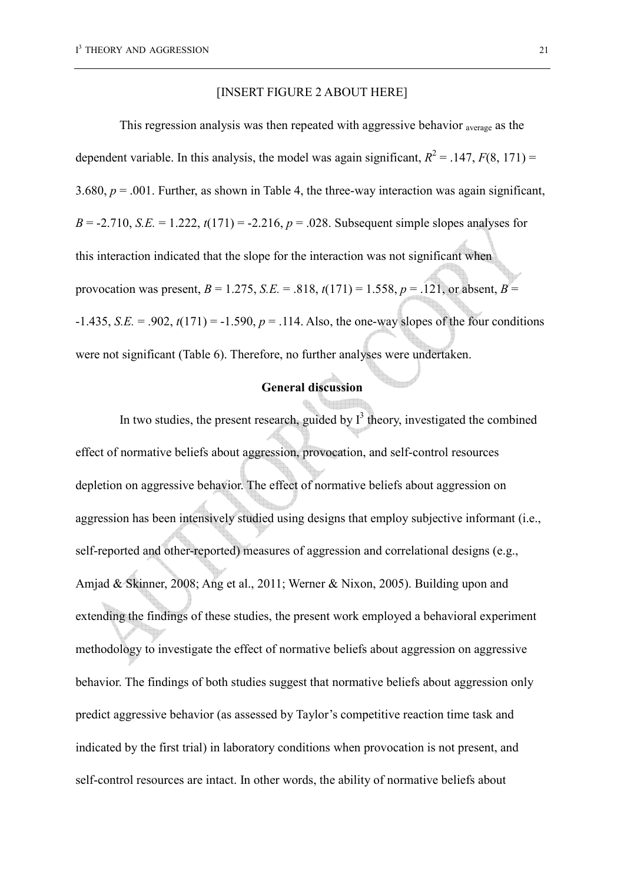#### [INSERT FIGURE 2 ABOUT HERE]

This regression analysis was then repeated with aggressive behavior average as the dependent variable. In this analysis, the model was again significant,  $R^2 = .147$ ,  $F(8, 171) =$ 3.680,  $p = 0.001$ . Further, as shown in Table 4, the three-way interaction was again significant,  $B = -2.710$ , *S.E.* = 1.222,  $t(171) = -2.216$ ,  $p = .028$ . Subsequent simple slopes analyses for this interaction indicated that the slope for the interaction was not significant when provocation was present,  $B = 1.275$ ,  $S.E. = .818$ ,  $t(171) = 1.558$ ,  $p = .121$ , or absent,  $B =$  $-1.435$ , *S.E.* = .902,  $t(171) = -1.590$ ,  $p = .114$ . Also, the one-way slopes of the four conditions were not significant (Table 6). Therefore, no further analyses were undertaken.

# **General discussion**

In two studies, the present research, guided by  $I<sup>3</sup>$  theory, investigated the combined effect of normative beliefs about aggression, provocation, and self-control resources depletion on aggressive behavior. The effect of normative beliefs about aggression on aggression has been intensively studied using designs that employ subjective informant (i.e., self-reported and other-reported) measures of aggression and correlational designs (e.g., Amjad & Skinner, 2008; Ang et al., 2011; Werner & Nixon, 2005). Building upon and extending the findings of these studies, the present work employed a behavioral experiment methodology to investigate the effect of normative beliefs about aggression on aggressive behavior. The findings of both studies suggest that normative beliefs about aggression only predict aggressive behavior (as assessed by Taylor's competitive reaction time task and indicated by the first trial) in laboratory conditions when provocation is not present, and self-control resources are intact. In other words, the ability of normative beliefs about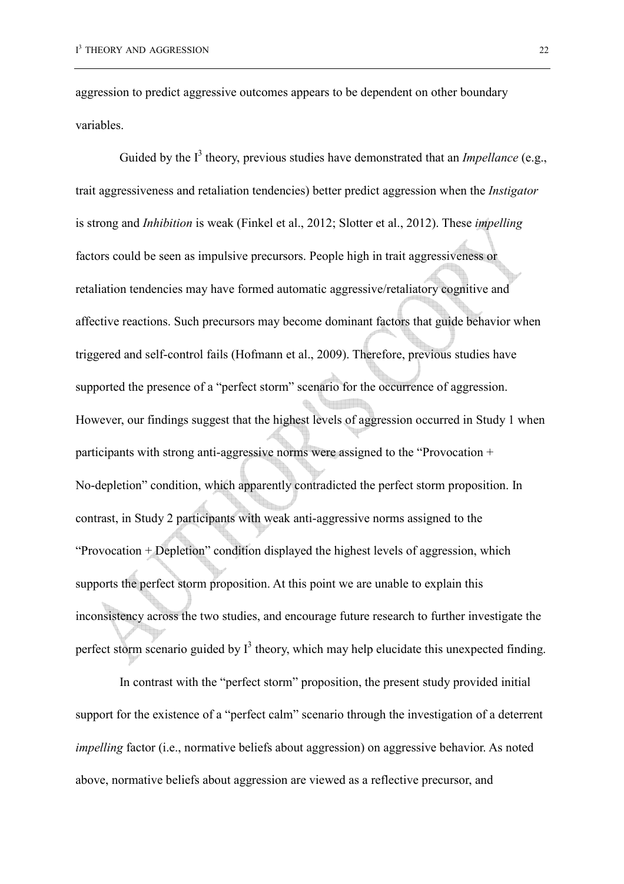aggression to predict aggressive outcomes appears to be dependent on other boundary variables.

Guided by the  $I<sup>3</sup>$  theory, previous studies have demonstrated that an *Impellance* (e.g., trait aggressiveness and retaliation tendencies) better predict aggression when the *Instigator* is strong and *Inhibition* is weak (Finkel et al., 2012; Slotter et al., 2012). These *impelling*  factors could be seen as impulsive precursors. People high in trait aggressiveness or retaliation tendencies may have formed automatic aggressive/retaliatory cognitive and affective reactions. Such precursors may become dominant factors that guide behavior when triggered and self-control fails (Hofmann et al., 2009). Therefore, previous studies have supported the presence of a "perfect storm" scenario for the occurrence of aggression. However, our findings suggest that the highest levels of aggression occurred in Study 1 when participants with strong anti-aggressive norms were assigned to the "Provocation + No-depletion" condition, which apparently contradicted the perfect storm proposition. In contrast, in Study 2 participants with weak anti-aggressive norms assigned to the "Provocation + Depletion" condition displayed the highest levels of aggression, which supports the perfect storm proposition. At this point we are unable to explain this inconsistency across the two studies, and encourage future research to further investigate the perfect storm scenario guided by  $I<sup>3</sup>$  theory, which may help elucidate this unexpected finding.

In contrast with the "perfect storm" proposition, the present study provided initial support for the existence of a "perfect calm" scenario through the investigation of a deterrent *impelling* factor (*i.e., normative beliefs about aggression*) on aggressive behavior. As noted above, normative beliefs about aggression are viewed as a reflective precursor, and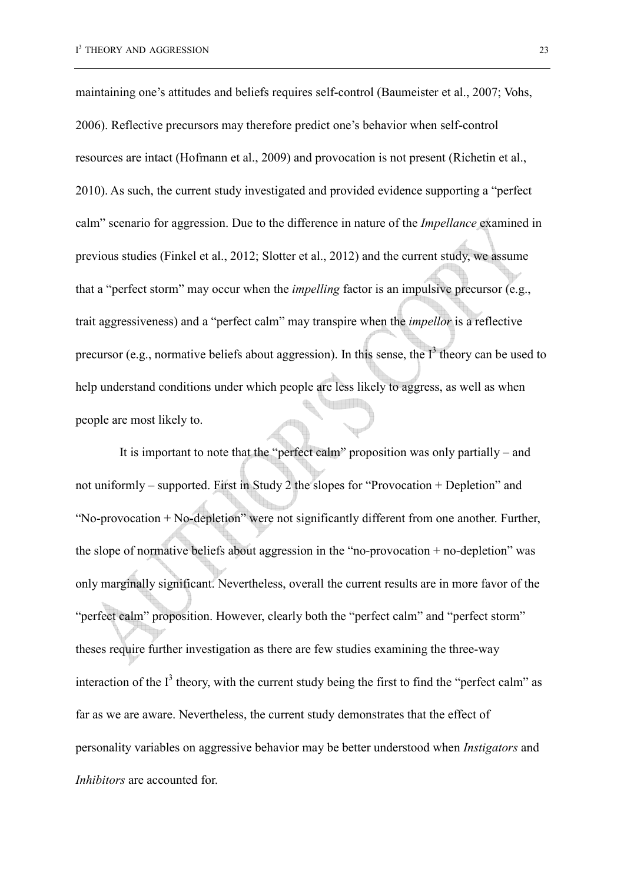maintaining one's attitudes and beliefs requires self-control (Baumeister et al., 2007; Vohs, 2006). Reflective precursors may therefore predict one's behavior when self-control resources are intact (Hofmann et al., 2009) and provocation is not present (Richetin et al., 2010). As such, the current study investigated and provided evidence supporting a "perfect calm" scenario for aggression. Due to the difference in nature of the *Impellance* examined in previous studies (Finkel et al., 2012; Slotter et al., 2012) and the current study, we assume that a "perfect storm" may occur when the *impelling* factor is an impulsive precursor (e.g., trait aggressiveness) and a "perfect calm" may transpire when the *impellor* is a reflective precursor (e.g., normative beliefs about aggression). In this sense, the  $I<sup>3</sup>$  theory can be used to help understand conditions under which people are less likely to aggress, as well as when people are most likely to.

It is important to note that the "perfect calm" proposition was only partially – and not uniformly – supported. First in Study 2 the slopes for "Provocation + Depletion" and "No-provocation + No-depletion" were not significantly different from one another. Further, the slope of normative beliefs about aggression in the "no-provocation  $+$  no-depletion" was only marginally significant. Nevertheless, overall the current results are in more favor of the "perfect calm" proposition. However, clearly both the "perfect calm" and "perfect storm" theses require further investigation as there are few studies examining the three-way interaction of the  $I<sup>3</sup>$  theory, with the current study being the first to find the "perfect calm" as far as we are aware. Nevertheless, the current study demonstrates that the effect of personality variables on aggressive behavior may be better understood when *Instigators* and *Inhibitors* are accounted for.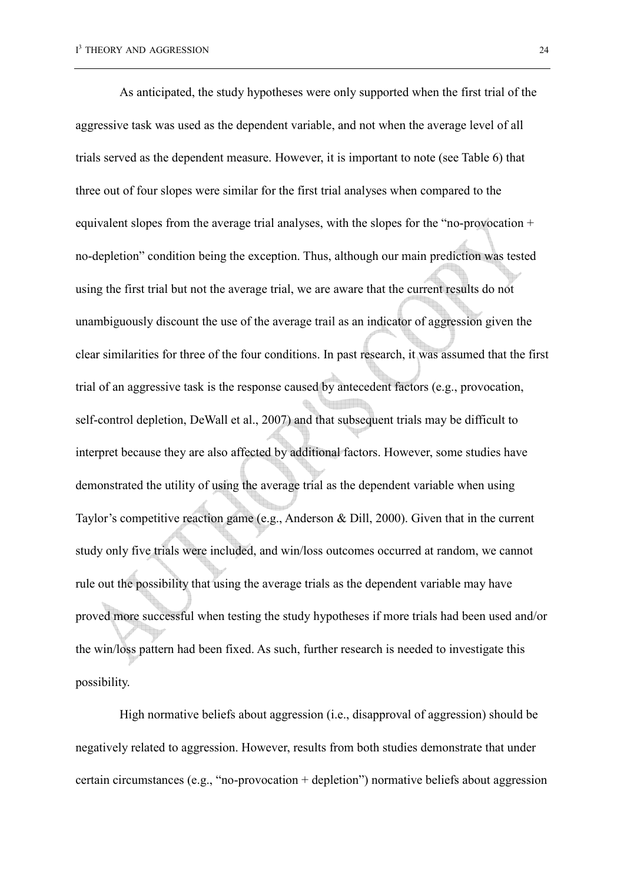As anticipated, the study hypotheses were only supported when the first trial of the aggressive task was used as the dependent variable, and not when the average level of all trials served as the dependent measure. However, it is important to note (see Table 6) that three out of four slopes were similar for the first trial analyses when compared to the equivalent slopes from the average trial analyses, with the slopes for the "no-provocation + no-depletion" condition being the exception. Thus, although our main prediction was tested using the first trial but not the average trial, we are aware that the current results do not unambiguously discount the use of the average trail as an indicator of aggression given the clear similarities for three of the four conditions. In past research, it was assumed that the first trial of an aggressive task is the response caused by antecedent factors (e.g., provocation, self-control depletion, DeWall et al., 2007) and that subsequent trials may be difficult to interpret because they are also affected by additional factors. However, some studies have demonstrated the utility of using the average trial as the dependent variable when using Taylor's competitive reaction game (e.g., Anderson & Dill, 2000). Given that in the current study only five trials were included, and win/loss outcomes occurred at random, we cannot rule out the possibility that using the average trials as the dependent variable may have proved more successful when testing the study hypotheses if more trials had been used and/or the win/loss pattern had been fixed. As such, further research is needed to investigate this possibility.

High normative beliefs about aggression (i.e., disapproval of aggression) should be negatively related to aggression. However, results from both studies demonstrate that under certain circumstances (e.g., "no-provocation + depletion") normative beliefs about aggression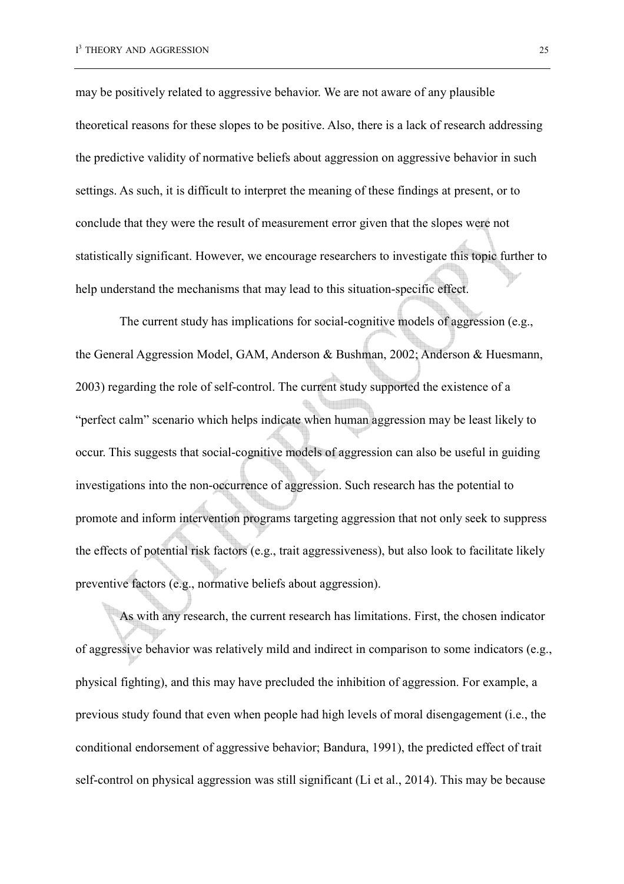may be positively related to aggressive behavior. We are not aware of any plausible theoretical reasons for these slopes to be positive. Also, there is a lack of research addressing the predictive validity of normative beliefs about aggression on aggressive behavior in such settings. As such, it is difficult to interpret the meaning of these findings at present, or to conclude that they were the result of measurement error given that the slopes were not statistically significant. However, we encourage researchers to investigate this topic further to help understand the mechanisms that may lead to this situation-specific effect.

The current study has implications for social-cognitive models of aggression (e.g., the General Aggression Model, GAM, Anderson & Bushman, 2002; Anderson & Huesmann, 2003) regarding the role of self-control. The current study supported the existence of a "perfect calm" scenario which helps indicate when human aggression may be least likely to occur. This suggests that social-cognitive models of aggression can also be useful in guiding investigations into the non-occurrence of aggression. Such research has the potential to promote and inform intervention programs targeting aggression that not only seek to suppress the effects of potential risk factors (e.g., trait aggressiveness), but also look to facilitate likely preventive factors (e.g., normative beliefs about aggression).

As with any research, the current research has limitations. First, the chosen indicator of aggressive behavior was relatively mild and indirect in comparison to some indicators (e.g., physical fighting), and this may have precluded the inhibition of aggression. For example, a previous study found that even when people had high levels of moral disengagement (i.e., the conditional endorsement of aggressive behavior; Bandura, 1991), the predicted effect of trait self-control on physical aggression was still significant (Li et al., 2014). This may be because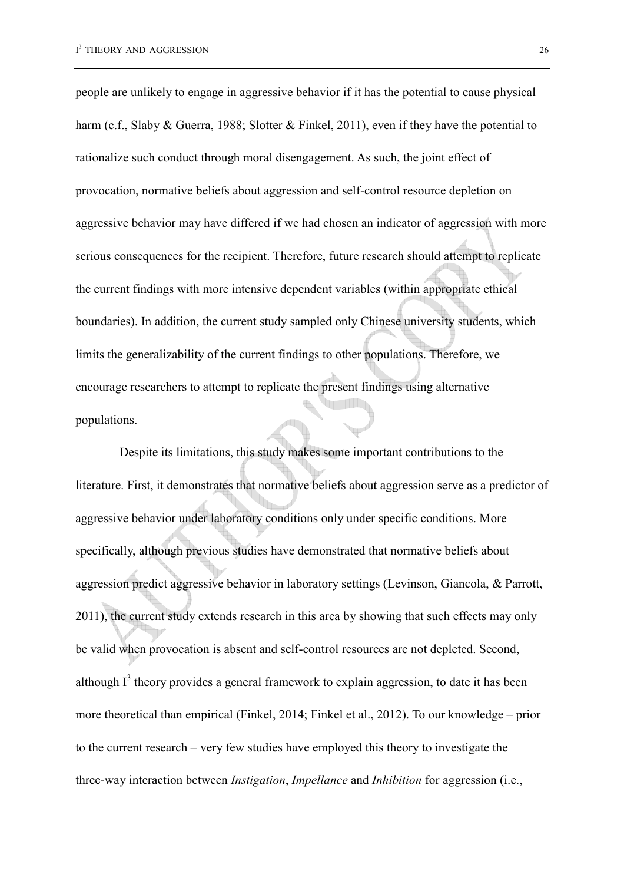people are unlikely to engage in aggressive behavior if it has the potential to cause physical harm (c.f., Slaby & Guerra, 1988; Slotter & Finkel, 2011), even if they have the potential to rationalize such conduct through moral disengagement. As such, the joint effect of provocation, normative beliefs about aggression and self-control resource depletion on aggressive behavior may have differed if we had chosen an indicator of aggression with more serious consequences for the recipient. Therefore, future research should attempt to replicate the current findings with more intensive dependent variables (within appropriate ethical boundaries). In addition, the current study sampled only Chinese university students, which limits the generalizability of the current findings to other populations. Therefore, we encourage researchers to attempt to replicate the present findings using alternative populations.

Despite its limitations, this study makes some important contributions to the literature. First, it demonstrates that normative beliefs about aggression serve as a predictor of aggressive behavior under laboratory conditions only under specific conditions. More specifically, although previous studies have demonstrated that normative beliefs about aggression predict aggressive behavior in laboratory settings (Levinson, Giancola, & Parrott, 2011), the current study extends research in this area by showing that such effects may only be valid when provocation is absent and self-control resources are not depleted. Second, although  $I<sup>3</sup>$  theory provides a general framework to explain aggression, to date it has been more theoretical than empirical (Finkel, 2014; Finkel et al., 2012). To our knowledge – prior to the current research – very few studies have employed this theory to investigate the three-way interaction between *Instigation*, *Impellance* and *Inhibition* for aggression (i.e.,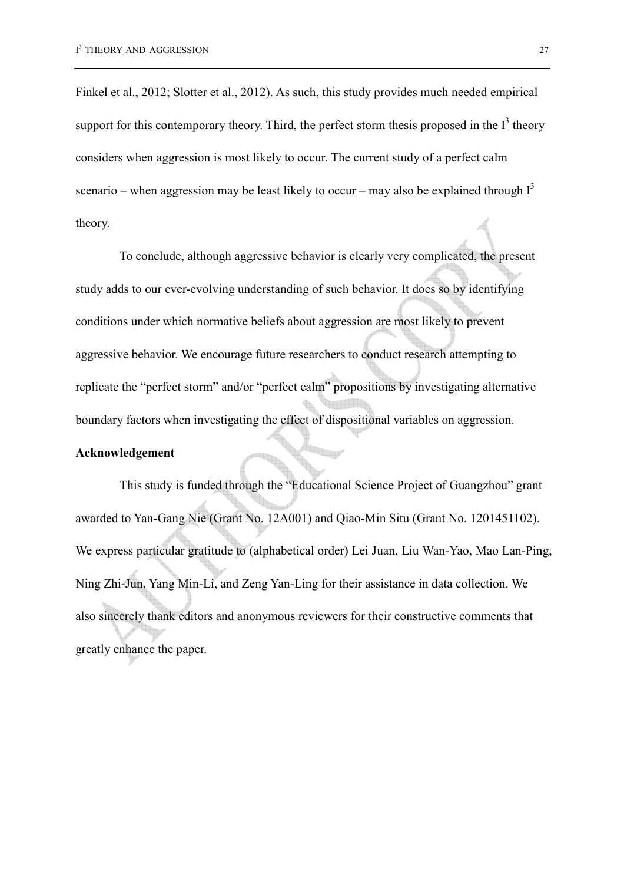Finkel et al., 2012; Slotter et al., 2012). As such, this study provides much needed empirical support for this contemporary theory. Third, the perfect storm thesis proposed in the  $I<sup>3</sup>$  theory considers when aggression is most likely to occur. The current study of a perfect calm scenario – when aggression may be least likely to occur – may also be explained through  $I<sup>3</sup>$ theory.

To conclude, although aggressive behavior is clearly very complicated, the present study adds to our ever-evolving understanding of such behavior. It does so by identifying conditions under which normative beliefs about aggression are most likely to prevent aggressive behavior. We encourage future researchers to conduct research attempting to replicate the "perfect storm" and/or "perfect calm" propositions by investigating alternative boundary factors when investigating the effect of dispositional variables on aggression.

#### **Acknowledgement**

This study is funded through the "Educational Science Project of Guangzhou" grant awarded to Yan-Gang Nie (Grant No. 12A001) and Qiao-Min Situ (Grant No. 1201451102). We express particular gratitude to (alphabetical order) Lei Juan, Liu Wan-Yao, Mao Lan-Ping, Ning Zhi-Jun, Yang Min-Li, and Zeng Yan-Ling for their assistance in data collection. We also sincerely thank editors and anonymous reviewers for their constructive comments that greatly enhance the paper.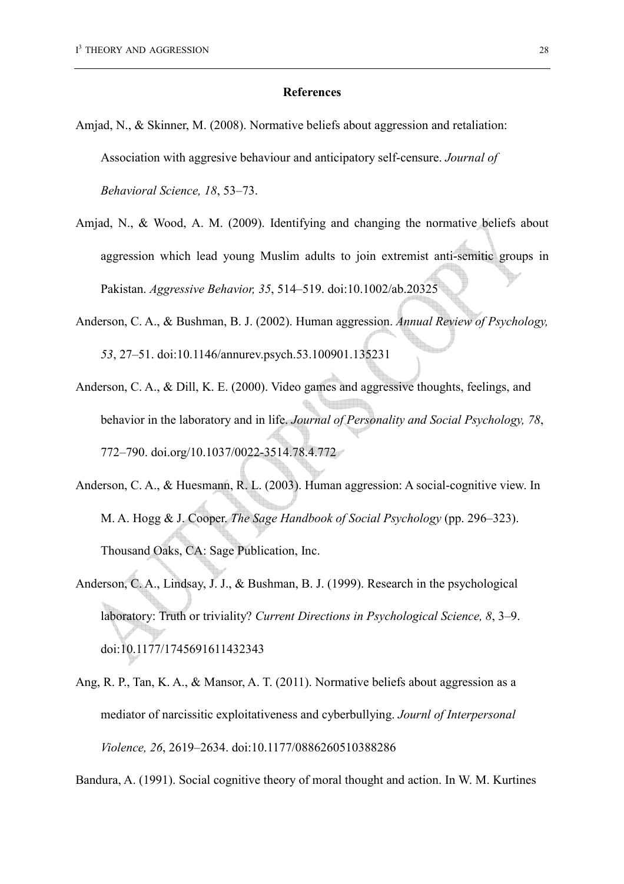#### **References**

- Amjad, N., & Skinner, M. (2008). Normative beliefs about aggression and retaliation: Association with aggresive behaviour and anticipatory self-censure. *Journal of Behavioral Science, 18*, 53–73.
- Amjad, N., & Wood, A. M. (2009). Identifying and changing the normative beliefs about aggression which lead young Muslim adults to join extremist anti-semitic groups in Pakistan. *Aggressive Behavior, 35*, 514–519. doi:10.1002/ab.20325
- Anderson, C. A., & Bushman, B. J. (2002). Human aggression. *Annual Review of Psychology, 53*, 27–51. doi:10.1146/annurev.psych.53.100901.135231
- Anderson, C. A., & Dill, K. E. (2000). Video games and aggressive thoughts, feelings, and behavior in the laboratory and in life. *Journal of Personality and Social Psychology, 78*, 772–790. doi.org/10.1037/0022-3514.78.4.772
- Anderson, C. A., & Huesmann, R. L. (2003). Human aggression: A social-cognitive view. In M. A. Hogg & J. Cooper. *The Sage Handbook of Social Psychology* (pp. 296–323). Thousand Oaks, CA: Sage Publication, Inc.
- Anderson, C. A., Lindsay, J. J., & Bushman, B. J. (1999). Research in the psychological laboratory: Truth or triviality? *Current Directions in Psychological Science, 8*, 3–9. doi:10.1177/1745691611432343
- Ang, R. P., Tan, K. A., & Mansor, A. T. (2011). Normative beliefs about aggression as a mediator of narcissitic exploitativeness and cyberbullying. *Journl of Interpersonal Violence, 26*, 2619–2634. doi:10.1177/0886260510388286

Bandura, A. (1991). Social cognitive theory of moral thought and action. In W. M. Kurtines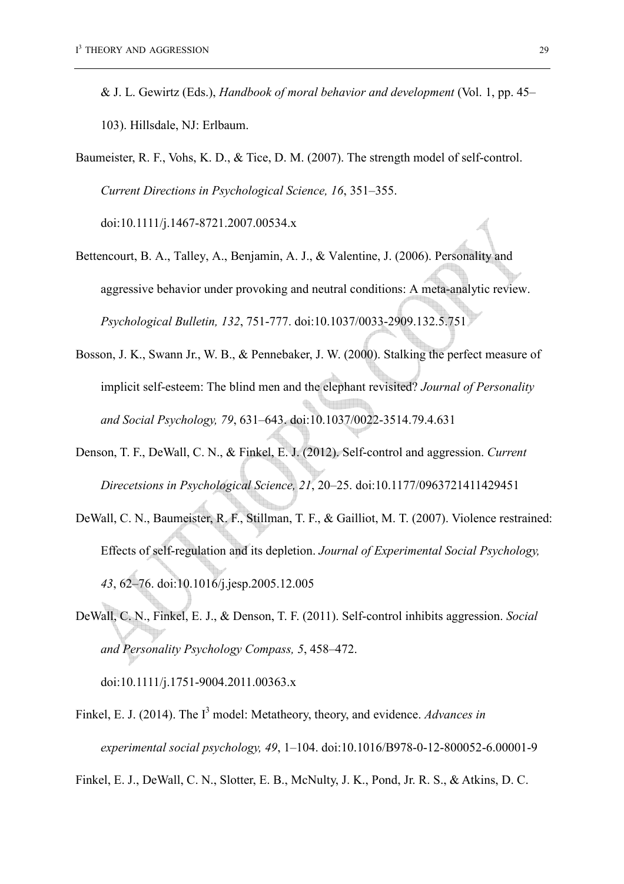- & J. L. Gewirtz (Eds.), *Handbook of moral behavior and development* (Vol. 1, pp. 45– 103). Hillsdale, NJ: Erlbaum.
- Baumeister, R. F., Vohs, K. D., & Tice, D. M. (2007). The strength model of self-control. *Current Directions in Psychological Science, 16*, 351–355.

doi:10.1111/j.1467-8721.2007.00534.x

- Bettencourt, B. A., Talley, A., Benjamin, A. J., & Valentine, J. (2006). Personality and aggressive behavior under provoking and neutral conditions: A meta-analytic review. *Psychological Bulletin, 132*, 751-777. doi:10.1037/0033-2909.132.5.751
- Bosson, J. K., Swann Jr., W. B., & Pennebaker, J. W. (2000). Stalking the perfect measure of implicit self-esteem: The blind men and the elephant revisited? *Journal of Personality and Social Psychology, 79*, 631–643. doi:10.1037/0022-3514.79.4.631
- Denson, T. F., DeWall, C. N., & Finkel, E. J. (2012). Self-control and aggression. *Current Direcetsions in Psychological Science, 21*, 20–25. doi:10.1177/0963721411429451
- DeWall, C. N., Baumeister, R. F., Stillman, T. F., & Gailliot, M. T. (2007). Violence restrained: Effects of self-regulation and its depletion. *Journal of Experimental Social Psychology, 43*, 62–76. doi:10.1016/j.jesp.2005.12.005
- DeWall, C. N., Finkel, E. J., & Denson, T. F. (2011). Self-control inhibits aggression. *Social and Personality Psychology Compass, 5*, 458–472.

doi:10.1111/j.1751-9004.2011.00363.x

Finkel, E. J. (2014). The I<sup>3</sup> model: Metatheory, theory, and evidence. *Advances in experimental social psychology, 49*, 1–104. doi:10.1016/B978-0-12-800052-6.00001-9

Finkel, E. J., DeWall, C. N., Slotter, E. B., McNulty, J. K., Pond, Jr. R. S., & Atkins, D. C.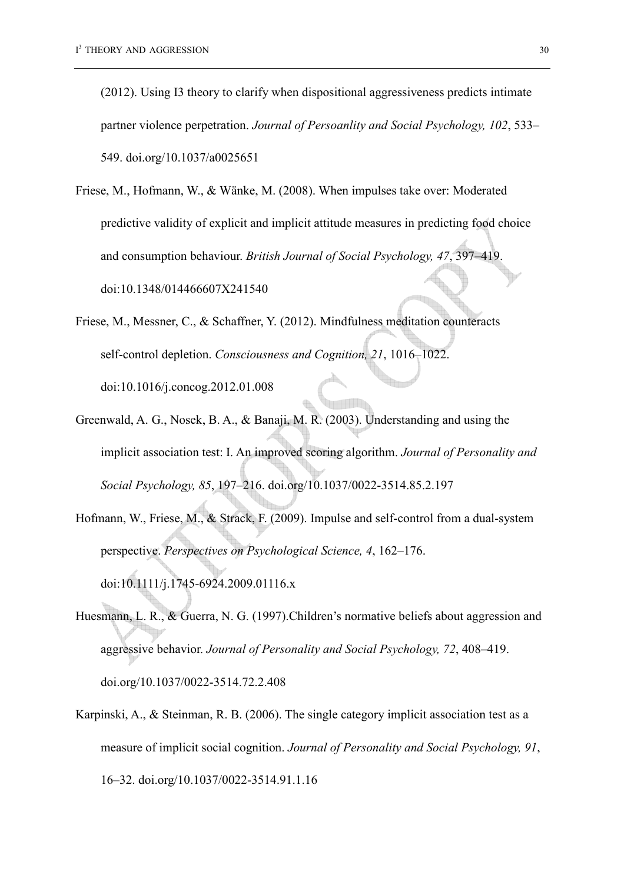(2012). Using I3 theory to clarify when dispositional aggressiveness predicts intimate partner violence perpetration. *Journal of Persoanlity and Social Psychology, 102*, 533– 549. doi.org/10.1037/a0025651

- Friese, M., Hofmann, W., & Wänke, M. (2008). When impulses take over: Moderated predictive validity of explicit and implicit attitude measures in predicting food choice and consumption behaviour. *British Journal of Social Psychology, 47*, 397–419. doi:10.1348/014466607X241540
- Friese, M., Messner, C., & Schaffner, Y. (2012). Mindfulness meditation counteracts self-control depletion. *Consciousness and Cognition, 21*, 1016–1022. doi:10.1016/j.concog.2012.01.008
- Greenwald, A. G., Nosek, B. A., & Banaji, M. R. (2003). Understanding and using the implicit association test: I. An improved scoring algorithm. *Journal of Personality and Social Psychology, 85*, 197–216. doi.org/10.1037/0022-3514.85.2.197
- Hofmann, W., Friese, M., & Strack, F. (2009). Impulse and self-control from a dual-system perspective. *Perspectives on Psychological Science, 4*, 162–176. doi:10.1111/j.1745-6924.2009.01116.x
- Huesmann, L. R., & Guerra, N. G. (1997).Children's normative beliefs about aggression and aggressive behavior. *Journal of Personality and Social Psychology, 72*, 408–419. doi.org/10.1037/0022-3514.72.2.408
- Karpinski, A., & Steinman, R. B. (2006). The single category implicit association test as a measure of implicit social cognition. *Journal of Personality and Social Psychology, 91*, 16–32. doi.org/10.1037/0022-3514.91.1.16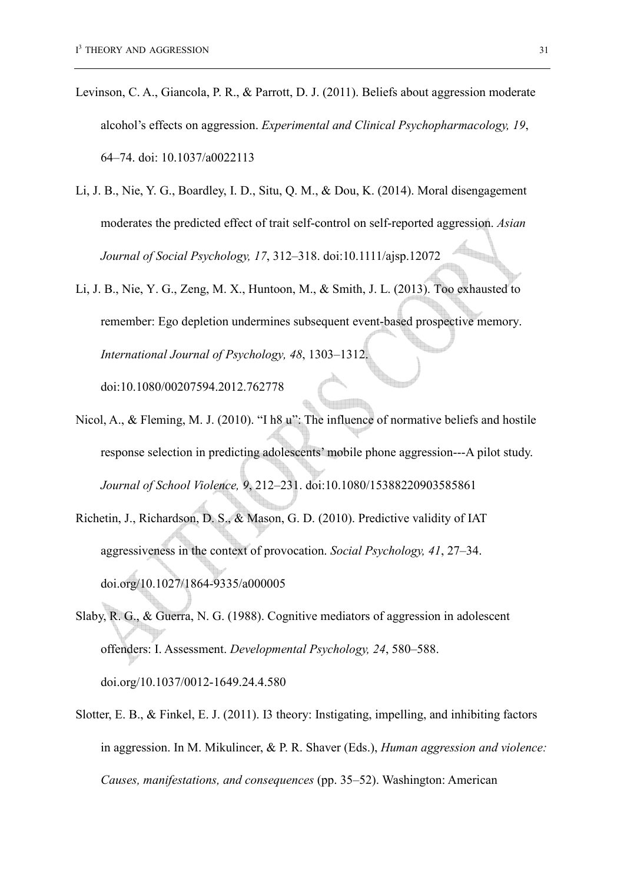- Levinson, C. A., Giancola, P. R., & Parrott, D. J. (2011). Beliefs about aggression moderate alcohol's effects on aggression. *Experimental and Clinical Psychopharmacology, 19*, 64–74. doi: 10.1037/a0022113
- Li, J. B., Nie, Y. G., Boardley, I. D., Situ, Q. M., & Dou, K. (2014). Moral disengagement moderates the predicted effect of trait self-control on self-reported aggression. *Asian*  lin. *Journal of Social Psychology, 17*, 312–318. doi:10.1111/ajsp.12072
- Li, J. B., Nie, Y. G., Zeng, M. X., Huntoon, M., & Smith, J. L. (2013). Too exhausted to remember: Ego depletion undermines subsequent event-based prospective memory. *International Journal of Psychology, 48*, 1303–1312.

doi:10.1080/00207594.2012.762778

- Nicol, A., & Fleming, M. J. (2010). "I h8 u": The influence of normative beliefs and hostile response selection in predicting adolescents' mobile phone aggression---A pilot study. *Journal of School Violence, 9*, 212–231. doi:10.1080/15388220903585861
- Richetin, J., Richardson, D. S., & Mason, G. D. (2010). Predictive validity of IAT aggressiveness in the context of provocation. *Social Psychology, 41*, 27–34. doi.org/10.1027/1864-9335/a000005
- Slaby, R. G., & Guerra, N. G. (1988). Cognitive mediators of aggression in adolescent offenders: I. Assessment. *Developmental Psychology, 24*, 580–588. doi.org/10.1037/0012-1649.24.4.580
- Slotter, E. B., & Finkel, E. J. (2011). I3 theory: Instigating, impelling, and inhibiting factors in aggression. In M. Mikulincer, & P. R. Shaver (Eds.), *Human aggression and violence: Causes, manifestations, and consequences* (pp. 35–52). Washington: American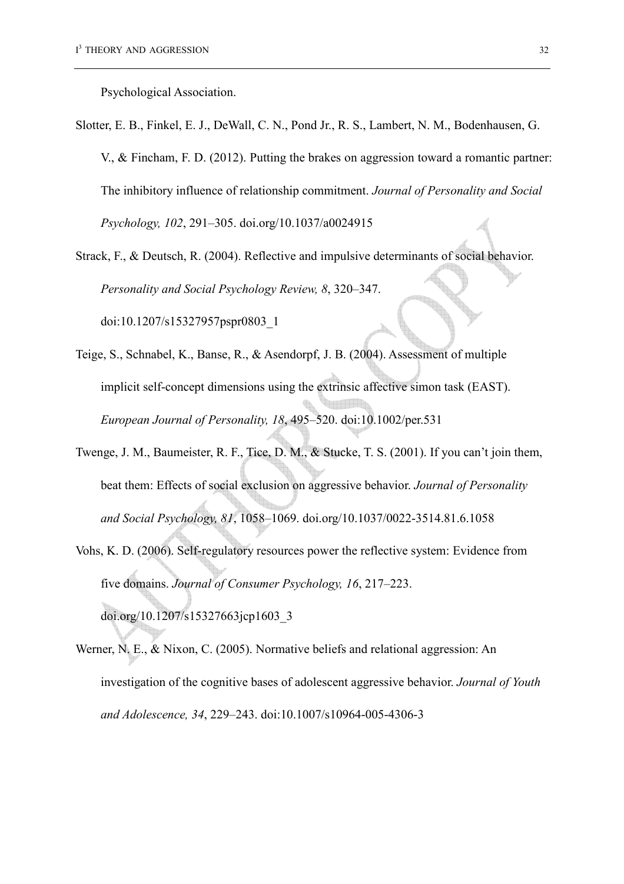Psychological Association.

- Slotter, E. B., Finkel, E. J., DeWall, C. N., Pond Jr., R. S., Lambert, N. M., Bodenhausen, G. V., & Fincham, F. D. (2012). Putting the brakes on aggression toward a romantic partner: The inhibitory influence of relationship commitment. *Journal of Personality and Social Psychology, 102*, 291–305. doi.org/10.1037/a0024915
- Strack, F., & Deutsch, R. (2004). Reflective and impulsive determinants of social behavior. *Personality and Social Psychology Review, 8*, 320–347.

doi:10.1207/s15327957pspr0803\_1

- Teige, S., Schnabel, K., Banse, R., & Asendorpf, J. B. (2004). Assessment of multiple implicit self-concept dimensions using the extrinsic affective simon task (EAST). *European Journal of Personality, 18*, 495–520. doi:10.1002/per.531
- Twenge, J. M., Baumeister, R. F., Tice, D. M., & Stucke, T. S. (2001). If you can't join them, beat them: Effects of social exclusion on aggressive behavior. *Journal of Personality and Social Psychology, 81*, 1058–1069. doi.org/10.1037/0022-3514.81.6.1058
- Vohs, K. D. (2006). Self-regulatory resources power the reflective system: Evidence from five domains. *Journal of Consumer Psychology, 16*, 217–223. doi.org/10.1207/s15327663jcp1603\_3
- Werner, N. E., & Nixon, C. (2005). Normative beliefs and relational aggression: An investigation of the cognitive bases of adolescent aggressive behavior. *Journal of Youth and Adolescence, 34*, 229–243. doi:10.1007/s10964-005-4306-3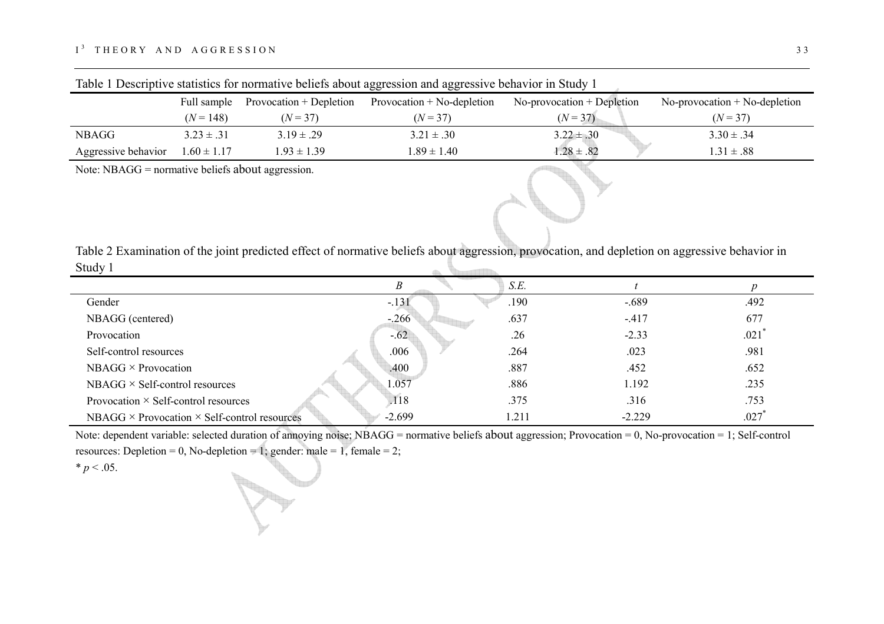| .                   |                                     |                 | <u>and processes and all all services are not not property and all services are not all all all all all all all a</u> |                              |                                 |  |
|---------------------|-------------------------------------|-----------------|-----------------------------------------------------------------------------------------------------------------------|------------------------------|---------------------------------|--|
|                     | Full sample Provocation + Depletion |                 | Provocation $+$ No-depletion                                                                                          | $No-provocation + Depletion$ | $No-provocation + No-depletion$ |  |
|                     | $(N = 148)$                         | $(N = 37)$      | $(N = 37)$                                                                                                            | $(N = 37)$                   | $(N = 37)$                      |  |
| NBAGG               | $3.23 \pm .31$                      | $3.19 \pm .29$  | $3.21 \pm .30$                                                                                                        | $3.22 \pm .30$               | $3.30 \pm .34$                  |  |
| Aggressive behavior | $1.60 \pm 1.17$                     | $1.93 \pm 1.39$ | $1.89 \pm 1.40$                                                                                                       | $1.28 \pm .82$               | $1.31 \pm .88$                  |  |

Table 1 Descriptive statistics for normative beliefs about aggression and aggressive behavior in Study 1

Note: NBAGG = normative beliefs about aggression.

| Table 2 Examination of the joint predicted effect of normative beliefs about aggression, provocation, and depletion on aggressive behavior in |  |
|-----------------------------------------------------------------------------------------------------------------------------------------------|--|
| Study 1                                                                                                                                       |  |

|                                                            |          | S.E.  |          |                     |
|------------------------------------------------------------|----------|-------|----------|---------------------|
| Gender                                                     | $-.131$  | .190  | $-.689$  | .492                |
| NBAGG (centered)                                           | $-.266$  | .637  | $-417$   | 677                 |
| Provocation                                                | $-.62$   | .26   | $-2.33$  | .021                |
| Self-control resources                                     | .006     | .264  | .023     | .981                |
| $NBAGG \times Provocation$                                 | .400     | .887  | .452     | .652                |
| $NBAGG \times Self-control$ resources                      | 1.057    | .886  | 1.192    | .235                |
| Provocation $\times$ Self-control resources                | .118     | .375  | .316     | .753                |
| NBAGG $\times$ Provocation $\times$ Self-control resources | $-2.699$ | l.211 | $-2.229$ | $.027$ <sup>*</sup> |

Note: dependent variable: selected duration of annoying noise; NBAGG = normative beliefs about aggression; Provocation = 0, No-provocation = 1; Self-control resources: Depletion = 0, No-depletion = 1; gender: male = 1, female = 2;

 $* p < .05$ .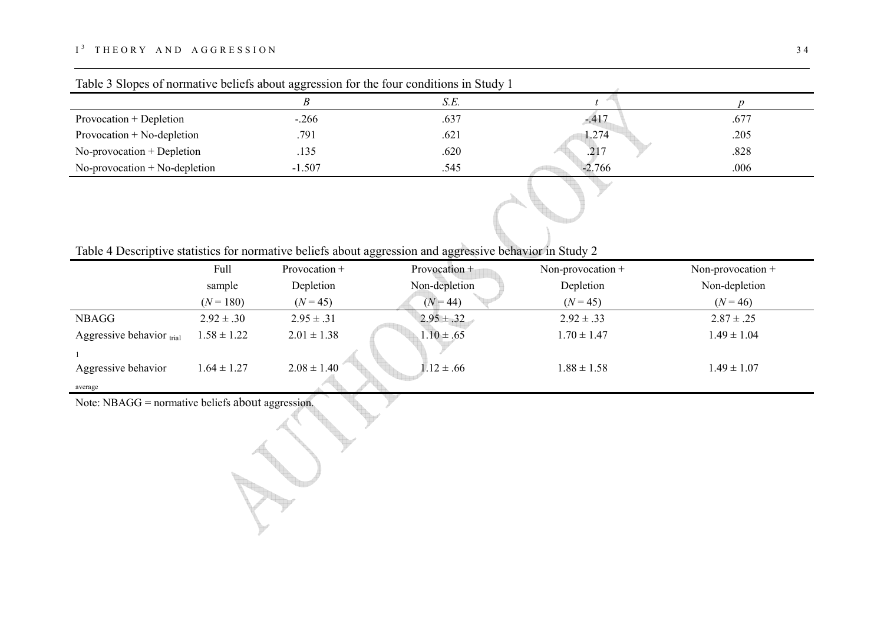# $I^3$  THEORY AND AGGRESSION 34

|                                 |          | S.E. |                  |      |
|---------------------------------|----------|------|------------------|------|
| Provocation + Depletion         | $-.266$  | .637 | $-417$           | .677 |
| Provocation $+$ No-depletion    | .791     | .621 | 1.274            | .205 |
| $No-provocation + Depletion$    | .135     | .620 | .21 <sup>7</sup> | .828 |
| $No-provocation + No-depletion$ | $-1.507$ | .545 | $-2.766$         | .006 |

| Table 4 Descriptive statistics for normative beliefs about aggression and aggressive behavior in Study 2 |  |  |  |
|----------------------------------------------------------------------------------------------------------|--|--|--|

|                           | Full            | Provocation +   | Provocation +  | Non-provocation $+$ | Non-provocation $+$ |
|---------------------------|-----------------|-----------------|----------------|---------------------|---------------------|
|                           | sample          | Depletion       | Non-depletion  | Depletion           | Non-depletion       |
|                           | $(N = 180)$     | $(N = 45)$      | $(N = 44)$     | $(N = 45)$          | $(N = 46)$          |
| <b>NBAGG</b>              | $2.92 \pm .30$  | $2.95 \pm .31$  | $2.95 \pm .32$ | $2.92 \pm .33$      | $2.87 \pm .25$      |
| Aggressive behavior trial | $1.58 \pm 1.22$ | $2.01 \pm 1.38$ | $1.10 \pm .65$ | $1.70 \pm 1.47$     | $1.49 \pm 1.04$     |
|                           |                 |                 |                |                     |                     |
| Aggressive behavior       | $1.64 \pm 1.27$ | $2.08 \pm 1.40$ | $1.12 \pm .66$ | $1.88 \pm 1.58$     | $1.49 \pm 1.07$     |
| average                   |                 |                 |                |                     |                     |

Note: NBAGG = normative beliefs about aggression.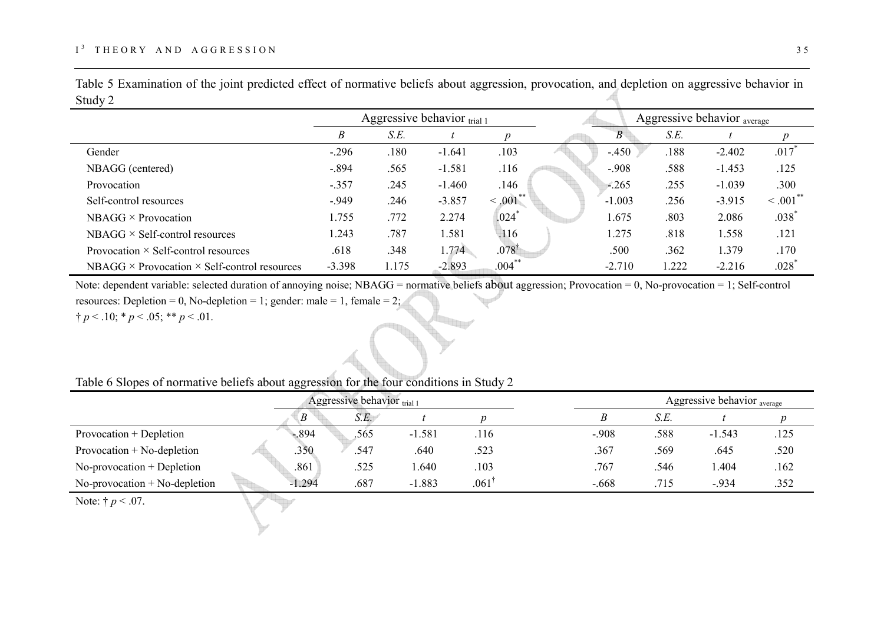| $\mathcal{L}$ and $\mathcal{L}$                            |          |       |                                |                     |          |      |                                        |                     |
|------------------------------------------------------------|----------|-------|--------------------------------|---------------------|----------|------|----------------------------------------|---------------------|
|                                                            |          |       | Aggressive behavior $_{trial}$ |                     |          |      | Aggressive behavior <sub>average</sub> |                     |
|                                                            | Β        | S.E.  |                                | $\boldsymbol{p}$    | B        | S.E. |                                        | $p_{\parallel}$     |
| Gender                                                     | $-.296$  | .180  | $-1.641$                       | .103                | $-.450$  | .188 | $-2.402$                               | .017                |
| NBAGG (centered)                                           | $-.894$  | .565  | $-1.581$                       | .116                | $-.908$  | .588 | $-1.453$                               | .125                |
| Provocation                                                | $-.357$  | .245  | $-1.460$                       | .146                | $-.265$  | .255 | $-1.039$                               | .300                |
| Self-control resources                                     | $-949$   | .246  | $-3.857$                       | $\leq 0.01$ **      | $-1.003$ | .256 | $-3.915$                               | $\leq .001$ **      |
| $NBAGG \times Provocation$                                 | 1.755    | .772  | 2.274                          | $.024$ <sup>*</sup> | 1.675    | .803 | 2.086                                  | $.038$ <sup>*</sup> |
| $NBAGG \times Self-control$ resources                      | 1.243    | .787  | 1.581                          | .116                | 1.275    | .818 | 1.558                                  | .121                |
| Provocation $\times$ Self-control resources                | .618     | .348  | 1.774                          | $.078^{\dagger}$    | .500     | .362 | 1.379                                  | .170                |
| NBAGG $\times$ Provocation $\times$ Self-control resources | $-3.398$ | 1.175 | $-2.893$                       | $.004***$           | $-2.710$ | .222 | $-2.216$                               | $.028$ <sup>*</sup> |

Table 5 Examination of the joint predicted effect of normative beliefs about aggression, provocation, and depletion on aggressive behavior in  $\mathcal{S}_{\text{tudy}}$ Æ

Note: dependent variable: selected duration of annoying noise; NBAGG = normative beliefs about aggression; Provocation = 0, No-provocation = 1; Self-control resources: Depletion = 0, No-depletion = 1; gender: male = 1, female = 2;  $\uparrow p < .10; \uparrow p < .05; \uparrow \uparrow p < .01.$ 

|                                 | Aggressive behavior $trial 1$ |      |          |                  |  |         |      |          | Aggressive behavior <sub>average</sub> |  |
|---------------------------------|-------------------------------|------|----------|------------------|--|---------|------|----------|----------------------------------------|--|
|                                 | B                             | S.E. |          |                  |  |         | S.E. |          |                                        |  |
| Provocation + Depletion         | $-894$                        | .565 | $-1.581$ | .116             |  | $-.908$ | .588 | $-1.543$ | .125                                   |  |
| Provocation $+$ No-depletion    | .350                          | .547 | .640     | .523             |  | .367    | .569 | .645     | .520                                   |  |
| $No-provocation + Depletion$    | .861                          | .525 | .640     | .103             |  | .767    | .546 | .404     | .162                                   |  |
| $No-provocation + No-depletion$ | $-1.294$                      | .687 | $-1.883$ | $.061^{\dagger}$ |  | $-.668$ | .715 | $-934$   | .352                                   |  |

Table 6 Slopes of normative beliefs about aggression for the four conditions in Study 2

Note:  $\dagger p < .07$ .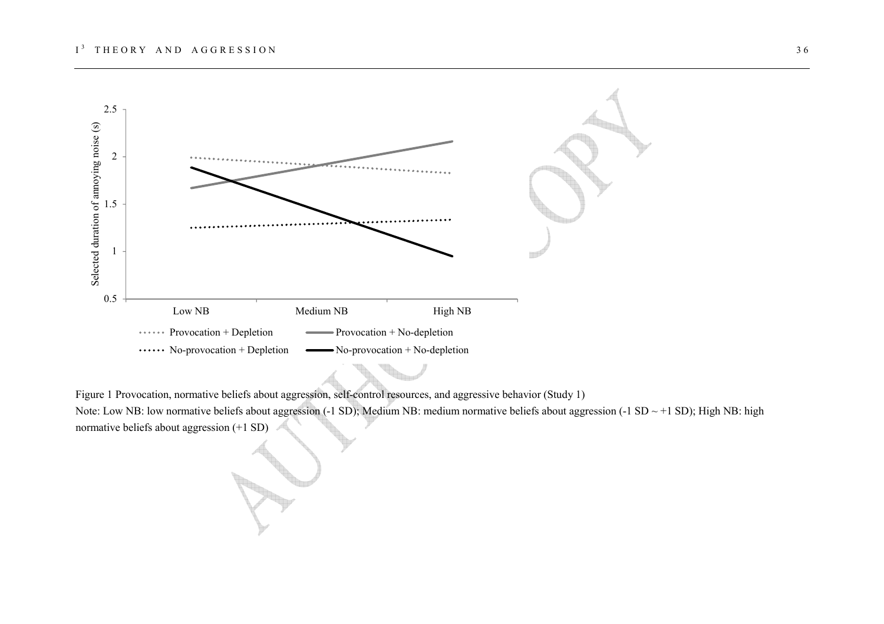

Figure 1 Provocation, normative beliefs about aggression, self-control resources, and aggressive behavior (Study 1)

Note: Low NB: low normative beliefs about aggression (-1 SD); Medium NB: medium normative beliefs about aggression (-1 SD ~ +1 SD); High NB: high normative beliefs about aggression (+1 SD)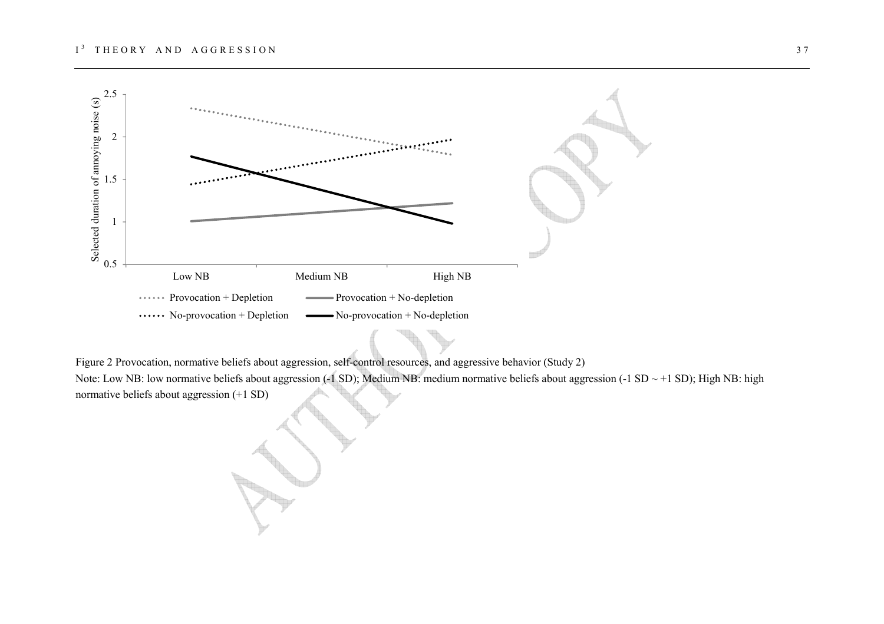

Figure 2 Provocation, normative beliefs about aggression, self-control resources, and aggressive behavior (Study 2)

Note: Low NB: low normative beliefs about aggression (-1 SD); Medium NB: medium normative beliefs about aggression (-1 SD ~ +1 SD); High NB: high normative beliefs about aggression (+1 SD)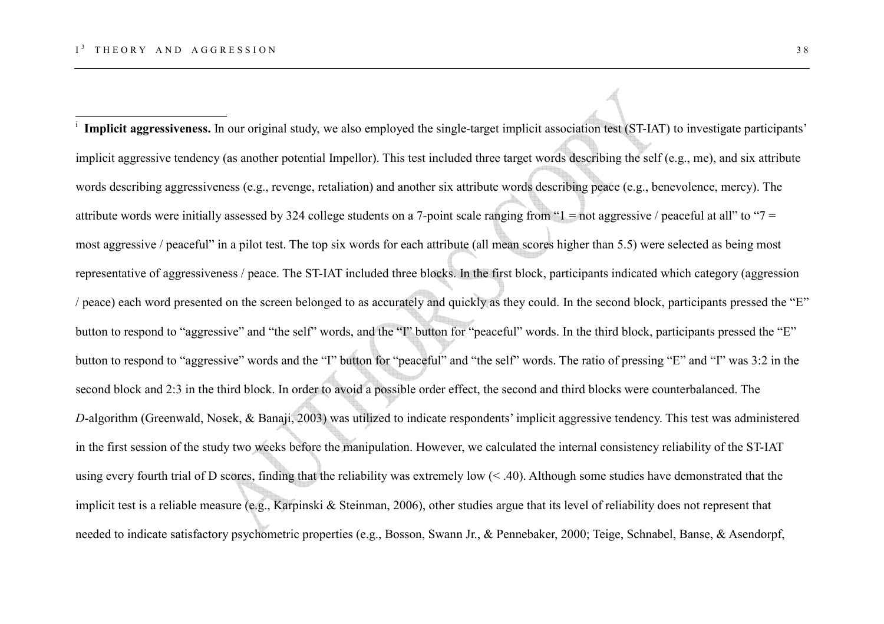i **Implicit aggressiveness.** In our original study, we also employed the single-target implicit association test (ST-IAT) to investigate participants' implicit aggressive tendency (as another potential Impellor). This test included three target words describing the self (e.g., me), and six attribute words describing aggressiveness (e.g., revenge, retaliation) and another six attribute words describing peace (e.g., benevolence, mercy). The attribute words were initially assessed by 324 college students on a 7-point scale ranging from " $1 =$  not aggressive / peaceful at all" to " $7 =$ most aggressive / peaceful" in a pilot test. The top six words for each attribute (all mean scores higher than 5.5) were selected as being most representative of aggressiveness / peace. The ST-IAT included three blocks. In the first block, participants indicated which category (aggression / peace) each word presented on the screen belonged to as accurately and quickly as they could. In the second block, participants pressed the "E" button to respond to "aggressive" and "the self" words, and the "I" button for "peaceful" words. In the third block, participants pressed the "E" button to respond to "aggressive" words and the "I" button for "peaceful" and "the self" words. The ratio of pressing "E" and "I" was 3:2 in the second block and 2:3 in the third block. In order to avoid a possible order effect, the second and third blocks were counterbalanced. The *D*-algorithm (Greenwald, Nosek, & Banaji, 2003) was utilized to indicate respondents' implicit aggressive tendency. This test was administered in the first session of the study two weeks before the manipulation. However, we calculated the internal consistency reliability of the ST-IAT using every fourth trial of D scores, finding that the reliability was extremely low  $(< .40$ ). Although some studies have demonstrated that the implicit test is a reliable measure (e.g., Karpinski & Steinman, 2006), other studies argue that its level of reliability does not represent that needed to indicate satisfactory psychometric properties (e.g., Bosson, Swann Jr., & Pennebaker, 2000; Teige, Schnabel, Banse, & Asendorpf,